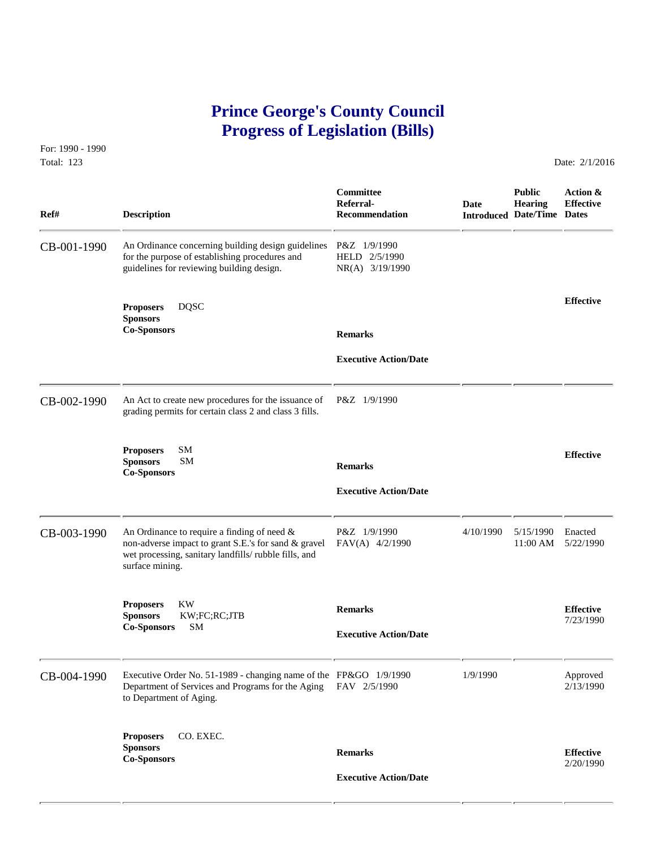# **Prince George's County Council Progress of Legislation (Bills)**

For: 1990 - 1990 Total: 123 Date: 2/1/2016

| Ref#        | <b>Description</b>                                                                                                                                                                | Committee<br>Referral-<br><b>Recommendation</b>  | Date      | <b>Public</b><br><b>Hearing</b><br><b>Introduced Date/Time Dates</b> | Action &<br><b>Effective</b>  |
|-------------|-----------------------------------------------------------------------------------------------------------------------------------------------------------------------------------|--------------------------------------------------|-----------|----------------------------------------------------------------------|-------------------------------|
| CB-001-1990 | An Ordinance concerning building design guidelines<br>for the purpose of establishing procedures and<br>guidelines for reviewing building design.                                 | P&Z 1/9/1990<br>HELD 2/5/1990<br>NR(A) 3/19/1990 |           |                                                                      |                               |
|             | <b>DQSC</b><br><b>Proposers</b><br><b>Sponsors</b><br><b>Co-Sponsors</b>                                                                                                          | <b>Remarks</b>                                   |           |                                                                      | <b>Effective</b>              |
|             |                                                                                                                                                                                   | <b>Executive Action/Date</b>                     |           |                                                                      |                               |
| CB-002-1990 | An Act to create new procedures for the issuance of<br>grading permits for certain class 2 and class 3 fills.                                                                     | P&Z 1/9/1990                                     |           |                                                                      |                               |
|             | SM<br><b>Proposers</b><br><b>Sponsors</b><br><b>SM</b><br><b>Co-Sponsors</b>                                                                                                      | <b>Remarks</b><br><b>Executive Action/Date</b>   |           |                                                                      | <b>Effective</b>              |
| CB-003-1990 | An Ordinance to require a finding of need $\&$<br>non-adverse impact to grant S.E.'s for sand & gravel<br>wet processing, sanitary landfills/rubble fills, and<br>surface mining. | P&Z 1/9/1990<br>FAV(A) 4/2/1990                  | 4/10/1990 | 5/15/1990<br>$11:00 \text{ AM}$                                      | Enacted<br>5/22/1990          |
|             | <b>KW</b><br><b>Proposers</b><br><b>Sponsors</b><br>KW;FC;RC;JTB<br><b>SM</b><br><b>Co-Sponsors</b>                                                                               | <b>Remarks</b><br><b>Executive Action/Date</b>   |           |                                                                      | <b>Effective</b><br>7/23/1990 |
| CB-004-1990 | Executive Order No. 51-1989 - changing name of the FP&GO 1/9/1990<br>Department of Services and Programs for the Aging<br>to Department of Aging.                                 | FAV 2/5/1990                                     | 1/9/1990  |                                                                      | Approved<br>2/13/1990         |
|             | CO. EXEC.<br><b>Proposers</b><br><b>Sponsors</b><br><b>Co-Sponsors</b>                                                                                                            | <b>Remarks</b><br><b>Executive Action/Date</b>   |           |                                                                      | <b>Effective</b><br>2/20/1990 |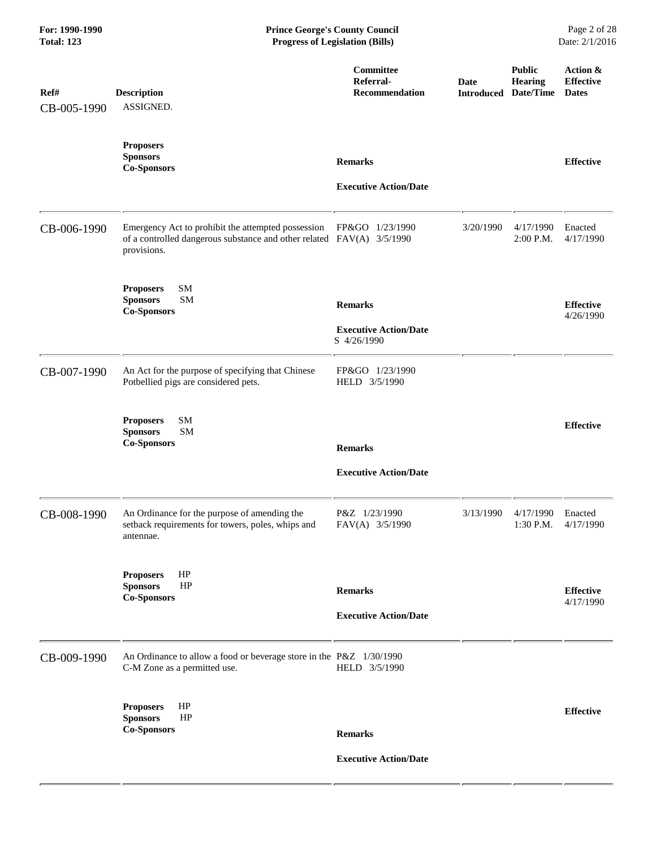| For: 1990-1990<br><b>Total: 123</b> | <b>Prince George's County Council</b><br><b>Progress of Legislation (Bills)</b>                                                            |                                                               |                           |                                              | Page 2 of 28<br>Date: 2/1/2016               |
|-------------------------------------|--------------------------------------------------------------------------------------------------------------------------------------------|---------------------------------------------------------------|---------------------------|----------------------------------------------|----------------------------------------------|
| Ref#<br>CB-005-1990                 | <b>Description</b><br>ASSIGNED.                                                                                                            | Committee<br>Referral-<br><b>Recommendation</b>               | Date<br><b>Introduced</b> | <b>Public</b><br><b>Hearing</b><br>Date/Time | Action &<br><b>Effective</b><br><b>Dates</b> |
|                                     | <b>Proposers</b><br><b>Sponsors</b><br><b>Co-Sponsors</b>                                                                                  | <b>Remarks</b><br><b>Executive Action/Date</b>                |                           |                                              | <b>Effective</b>                             |
| CB-006-1990                         | Emergency Act to prohibit the attempted possession<br>of a controlled dangerous substance and other related FAV(A) 3/5/1990<br>provisions. | FP&GO 1/23/1990                                               | 3/20/1990                 | 4/17/1990<br>2:00 P.M.                       | Enacted<br>4/17/1990                         |
|                                     | SM<br><b>Proposers</b><br><b>Sponsors</b><br><b>SM</b><br><b>Co-Sponsors</b>                                                               | <b>Remarks</b><br><b>Executive Action/Date</b><br>S 4/26/1990 |                           |                                              | <b>Effective</b><br>4/26/1990                |
| CB-007-1990                         | An Act for the purpose of specifying that Chinese<br>Potbellied pigs are considered pets.                                                  | FP&GO 1/23/1990<br>HELD 3/5/1990                              |                           |                                              |                                              |
|                                     | SM<br><b>Proposers</b><br><b>SM</b><br><b>Sponsors</b><br><b>Co-Sponsors</b>                                                               | <b>Remarks</b><br><b>Executive Action/Date</b>                |                           |                                              | <b>Effective</b>                             |
| CB-008-1990                         | An Ordinance for the purpose of amending the<br>setback requirements for towers, poles, whips and<br>antennae.                             | P&Z 1/23/1990<br>FAV(A) 3/5/1990                              | 3/13/1990                 | 4/17/1990<br>1:30 P.M.                       | Enacted<br>4/17/1990                         |
|                                     | HP<br><b>Proposers</b><br>HP<br><b>Sponsors</b><br><b>Co-Sponsors</b>                                                                      | <b>Remarks</b><br><b>Executive Action/Date</b>                |                           |                                              | <b>Effective</b><br>4/17/1990                |
| CB-009-1990                         | An Ordinance to allow a food or beverage store in the P&Z 1/30/1990<br>C-M Zone as a permitted use.                                        | HELD 3/5/1990                                                 |                           |                                              |                                              |
|                                     | HP<br><b>Proposers</b><br><b>Sponsors</b><br>HP<br><b>Co-Sponsors</b>                                                                      | <b>Remarks</b><br><b>Executive Action/Date</b>                |                           |                                              | <b>Effective</b>                             |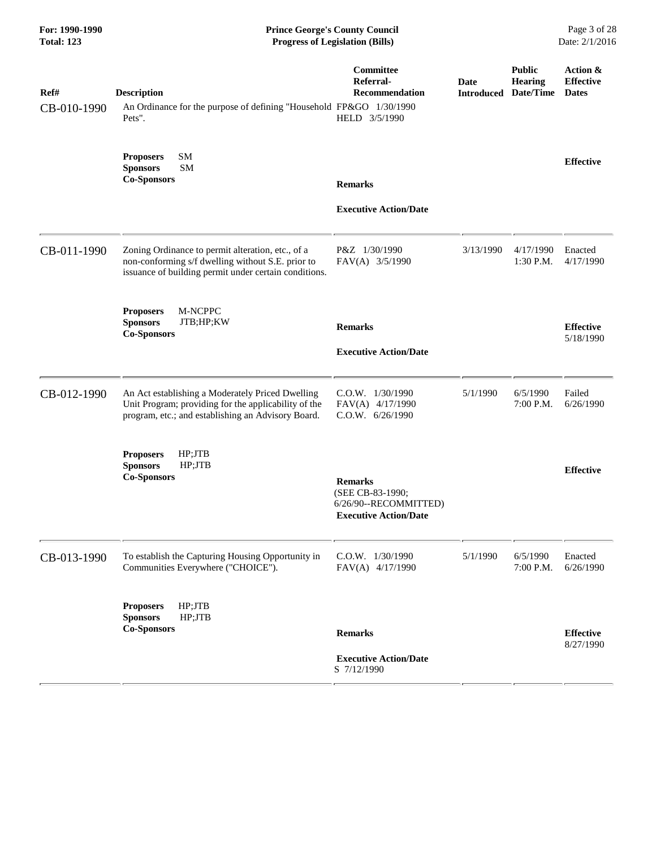| <b>Prince George's County Council</b><br><b>Progress of Legislation (Bills)</b>                                                                                 |                                                                                             |                                                                     |                                       | Page 3 of 28<br>Date: 2/1/2016               |  |
|-----------------------------------------------------------------------------------------------------------------------------------------------------------------|---------------------------------------------------------------------------------------------|---------------------------------------------------------------------|---------------------------------------|----------------------------------------------|--|
| <b>Description</b><br>Pets".                                                                                                                                    | Committee<br>Referral-<br>Recommendation<br>HELD 3/5/1990                                   | Date<br><b>Introduced</b>                                           | <b>Public</b><br>Hearing<br>Date/Time | Action &<br><b>Effective</b><br><b>Dates</b> |  |
| SM<br><b>Proposers</b><br>SM<br><b>Sponsors</b><br><b>Co-Sponsors</b>                                                                                           | <b>Remarks</b>                                                                              |                                                                     |                                       | <b>Effective</b>                             |  |
|                                                                                                                                                                 | <b>Executive Action/Date</b>                                                                |                                                                     |                                       |                                              |  |
| Zoning Ordinance to permit alteration, etc., of a<br>non-conforming s/f dwelling without S.E. prior to<br>issuance of building permit under certain conditions. | P&Z 1/30/1990<br>FAV(A) 3/5/1990                                                            | 3/13/1990                                                           | 4/17/1990<br>1:30 P.M.                | Enacted<br>4/17/1990                         |  |
| M-NCPPC<br><b>Proposers</b><br><b>Sponsors</b><br>JTB;HP;KW<br><b>Co-Sponsors</b>                                                                               | <b>Remarks</b>                                                                              |                                                                     |                                       | <b>Effective</b><br>5/18/1990                |  |
|                                                                                                                                                                 | <b>Executive Action/Date</b>                                                                |                                                                     |                                       |                                              |  |
| An Act establishing a Moderately Priced Dwelling<br>Unit Program; providing for the applicability of the<br>program, etc.; and establishing an Advisory Board.  | C.O.W. 1/30/1990<br>FAV(A) 4/17/1990<br>C.O.W. 6/26/1990                                    | 5/1/1990                                                            | 6/5/1990<br>7:00 P.M.                 | Failed<br>6/26/1990                          |  |
| <b>Proposers</b><br>HP;JTB<br>HP;JTB<br><b>Sponsors</b><br><b>Co-Sponsors</b>                                                                                   | <b>Remarks</b><br>(SEE CB-83-1990;<br>6/26/90--RECOMMITTED)<br><b>Executive Action/Date</b> |                                                                     |                                       | <b>Effective</b>                             |  |
| To establish the Capturing Housing Opportunity in<br>Communities Everywhere ("CHOICE").                                                                         | C.O.W. 1/30/1990<br>FAV(A) 4/17/1990                                                        | 5/1/1990                                                            | 6/5/1990<br>7:00 P.M.                 | Enacted<br>6/26/1990                         |  |
| <b>Proposers</b><br>HP;JTB<br>HP;JTB<br><b>Sponsors</b><br><b>Co-Sponsors</b>                                                                                   | <b>Remarks</b><br><b>Executive Action/Date</b><br>S 7/12/1990                               |                                                                     |                                       | <b>Effective</b><br>8/27/1990                |  |
|                                                                                                                                                                 |                                                                                             | An Ordinance for the purpose of defining "Household FP&GO 1/30/1990 |                                       |                                              |  |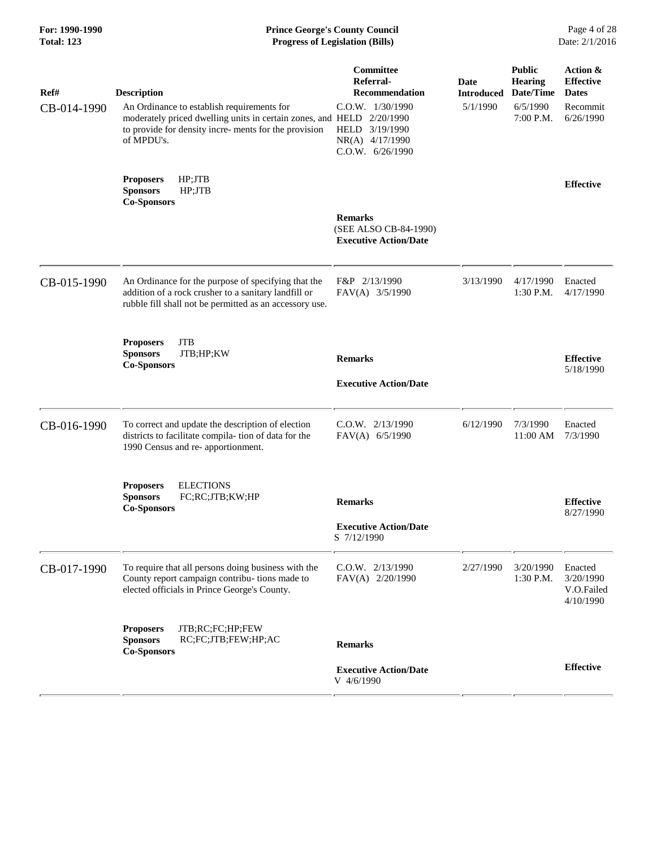# **For: 1990-1990 Prince George's County Council** Page 4 of 28<br> **Prince George's County Council** Page 4 of 28<br> **Progress of Legislation (Bills)** Date: 2/1/2016 **Total: 123 Progress of Legislation (Bills)**

| Ref#<br>CB-014-1990 | <b>Description</b><br>An Ordinance to establish requirements for<br>moderately priced dwelling units in certain zones, and HELD<br>to provide for density incre- ments for the provision<br>of MPDU's. | Committee<br>Referral-<br>Recommendation<br>C.O.W. 1/30/1990<br>2/20/1990<br>HELD 3/19/1990<br>NR(A) 4/17/1990<br>$C.0.W.$ 6/26/1990 | Date<br><b>Introduced</b><br>5/1/1990 | <b>Public</b><br><b>Hearing</b><br>Date/Time<br>6/5/1990<br>7:00 P.M. | Action &<br><b>Effective</b><br><b>Dates</b><br>Recommit<br>6/26/1990 |
|---------------------|--------------------------------------------------------------------------------------------------------------------------------------------------------------------------------------------------------|--------------------------------------------------------------------------------------------------------------------------------------|---------------------------------------|-----------------------------------------------------------------------|-----------------------------------------------------------------------|
|                     | HP;JTB<br><b>Proposers</b><br><b>Sponsors</b><br>HP;JTB<br><b>Co-Sponsors</b>                                                                                                                          | <b>Remarks</b><br>(SEE ALSO CB-84-1990)<br><b>Executive Action/Date</b>                                                              |                                       |                                                                       | <b>Effective</b>                                                      |
|                     |                                                                                                                                                                                                        |                                                                                                                                      |                                       |                                                                       |                                                                       |
| CB-015-1990         | An Ordinance for the purpose of specifying that the<br>addition of a rock crusher to a sanitary landfill or<br>rubble fill shall not be permitted as an accessory use.                                 | F&P 2/13/1990<br>FAV(A) 3/5/1990                                                                                                     | 3/13/1990                             | 4/17/1990<br>$1:30$ P.M.                                              | Enacted<br>4/17/1990                                                  |
|                     | <b>JTB</b><br><b>Proposers</b><br>JTB;HP;KW<br><b>Sponsors</b><br><b>Co-Sponsors</b>                                                                                                                   | <b>Remarks</b><br><b>Executive Action/Date</b>                                                                                       |                                       |                                                                       | <b>Effective</b><br>5/18/1990                                         |
| CB-016-1990         | To correct and update the description of election<br>districts to facilitate compila-tion of data for the<br>1990 Census and re- apportionment.                                                        | $C.0.W.$ $2/13/1990$<br>FAV(A) 6/5/1990                                                                                              | 6/12/1990                             | 7/3/1990<br>11:00 AM                                                  | Enacted<br>7/3/1990                                                   |
|                     | <b>ELECTIONS</b><br><b>Proposers</b><br><b>Sponsors</b><br>FC;RC;JTB;KW;HP<br><b>Co-Sponsors</b>                                                                                                       | <b>Remarks</b><br><b>Executive Action/Date</b><br>S 7/12/1990                                                                        |                                       |                                                                       | <b>Effective</b><br>8/27/1990                                         |
| CB-017-1990         | To require that all persons doing business with the<br>County report campaign contribu- tions made to<br>elected officials in Prince George's County.                                                  | $C.0.W.$ $2/13/1990$<br>FAV(A) 2/20/1990                                                                                             | 2/27/1990                             | 3/20/1990<br>1:30 P.M.                                                | Enacted<br>3/20/1990<br>V.O.Failed<br>4/10/1990                       |
|                     | JTB;RC;FC;HP;FEW<br><b>Proposers</b><br><b>Sponsors</b><br>RC;FC;JTB;FEW;HP;AC<br><b>Co-Sponsors</b>                                                                                                   | <b>Remarks</b>                                                                                                                       |                                       |                                                                       |                                                                       |
|                     |                                                                                                                                                                                                        | <b>Executive Action/Date</b><br>V 4/6/1990                                                                                           |                                       |                                                                       | <b>Effective</b>                                                      |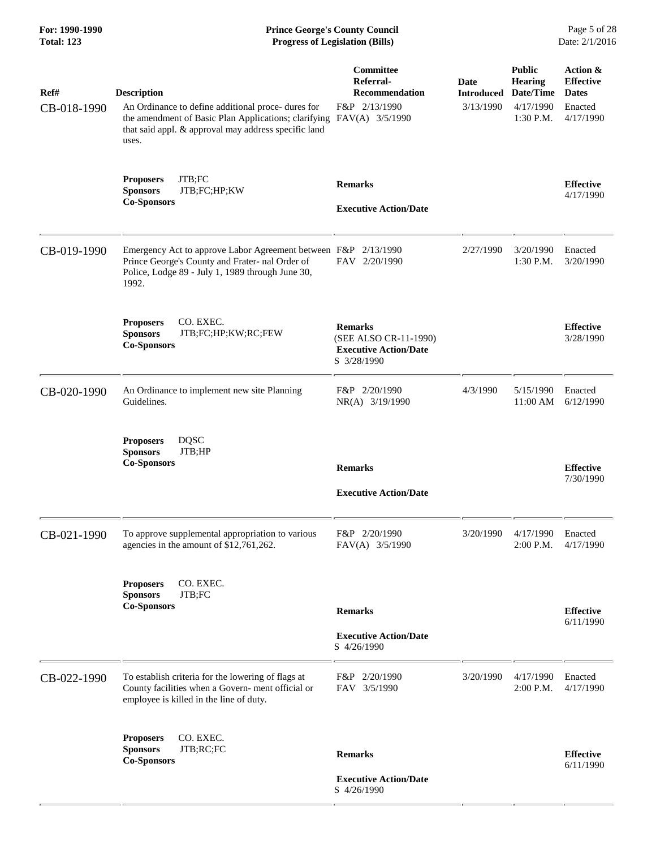| For: 1990-1990<br><b>Total: 123</b> | <b>Prince George's County Council</b><br><b>Progress of Legislation (Bills)</b>                                                                                                                                   |                                                                                        |                                        |                                                                        | Page 5 of 28<br>Date: 2/1/2016                                       |  |
|-------------------------------------|-------------------------------------------------------------------------------------------------------------------------------------------------------------------------------------------------------------------|----------------------------------------------------------------------------------------|----------------------------------------|------------------------------------------------------------------------|----------------------------------------------------------------------|--|
| Ref#<br>CB-018-1990                 | <b>Description</b><br>An Ordinance to define additional proce- dures for<br>the amendment of Basic Plan Applications; clarifying FAV(A) 3/5/1990<br>that said appl. & approval may address specific land<br>uses. | <b>Committee</b><br>Referral-<br><b>Recommendation</b><br>F&P 2/13/1990                | Date<br><b>Introduced</b><br>3/13/1990 | <b>Public</b><br><b>Hearing</b><br>Date/Time<br>4/17/1990<br>1:30 P.M. | Action &<br><b>Effective</b><br><b>Dates</b><br>Enacted<br>4/17/1990 |  |
|                                     | JTB;FC<br><b>Proposers</b><br><b>Sponsors</b><br>JTB;FC;HP;KW<br><b>Co-Sponsors</b>                                                                                                                               | <b>Remarks</b><br><b>Executive Action/Date</b>                                         |                                        |                                                                        | <b>Effective</b><br>4/17/1990                                        |  |
| CB-019-1990                         | Emergency Act to approve Labor Agreement between F&P 2/13/1990<br>Prince George's County and Frater- nal Order of<br>Police, Lodge 89 - July 1, 1989 through June 30,<br>1992.                                    | FAV 2/20/1990                                                                          | 2/27/1990                              | 3/20/1990<br>$1:30$ P.M.                                               | Enacted<br>3/20/1990                                                 |  |
|                                     | CO. EXEC.<br><b>Proposers</b><br><b>Sponsors</b><br>JTB;FC;HP;KW;RC;FEW<br><b>Co-Sponsors</b>                                                                                                                     | <b>Remarks</b><br>(SEE ALSO CR-11-1990)<br><b>Executive Action/Date</b><br>S 3/28/1990 |                                        |                                                                        | <b>Effective</b><br>3/28/1990                                        |  |
| CB-020-1990                         | An Ordinance to implement new site Planning<br>Guidelines.                                                                                                                                                        | F&P 2/20/1990<br>NR(A) 3/19/1990                                                       | 4/3/1990                               | 5/15/1990<br>11:00 AM                                                  | Enacted<br>6/12/1990                                                 |  |
|                                     | <b>DQSC</b><br><b>Proposers</b><br><b>Sponsors</b><br>JTB;HP<br><b>Co-Sponsors</b>                                                                                                                                | <b>Remarks</b><br><b>Executive Action/Date</b>                                         |                                        |                                                                        | <b>Effective</b><br>7/30/1990                                        |  |
| CB-021-1990                         | To approve supplemental appropriation to various<br>agencies in the amount of \$12,761,262.                                                                                                                       | F&P 2/20/1990<br>FAV(A) 3/5/1990                                                       | 3/20/1990                              | 4/17/1990<br>2:00 P.M.                                                 | Enacted<br>4/17/1990                                                 |  |
|                                     | CO. EXEC.<br><b>Proposers</b><br>JTB;FC<br><b>Sponsors</b><br><b>Co-Sponsors</b>                                                                                                                                  | <b>Remarks</b><br><b>Executive Action/Date</b><br>S 4/26/1990                          |                                        |                                                                        | <b>Effective</b><br>6/11/1990                                        |  |
| CB-022-1990                         | To establish criteria for the lowering of flags at<br>County facilities when a Govern-ment official or<br>employee is killed in the line of duty.                                                                 | F&P 2/20/1990<br>FAV 3/5/1990                                                          | 3/20/1990                              | 4/17/1990<br>2:00 P.M.                                                 | Enacted<br>4/17/1990                                                 |  |
|                                     | CO. EXEC.<br><b>Proposers</b><br>JTB;RC;FC<br><b>Sponsors</b><br><b>Co-Sponsors</b>                                                                                                                               | <b>Remarks</b><br><b>Executive Action/Date</b><br>S 4/26/1990                          |                                        |                                                                        | <b>Effective</b><br>6/11/1990                                        |  |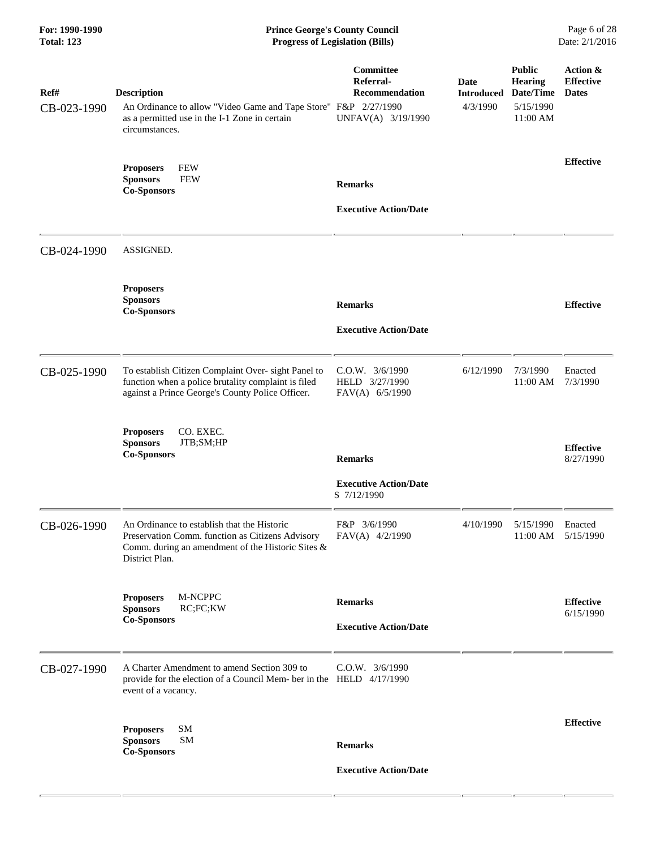| For: 1990-1990<br><b>Total: 123</b> |                                                                                                                                                                        | <b>Prince George's County Council</b><br><b>Progress of Legislation (Bills)</b> |                                                 |                                                          | Page 6 of 28<br>Date: 2/1/2016               |
|-------------------------------------|------------------------------------------------------------------------------------------------------------------------------------------------------------------------|---------------------------------------------------------------------------------|-------------------------------------------------|----------------------------------------------------------|----------------------------------------------|
| Ref#<br>CB-023-1990                 | <b>Description</b><br>An Ordinance to allow "Video Game and Tape Store" F&P 2/27/1990<br>as a permitted use in the I-1 Zone in certain<br>circumstances.               | Committee<br>Referral-<br><b>Recommendation</b><br>UNFAV(A) 3/19/1990           | Date<br><b>Introduced Date/Time</b><br>4/3/1990 | <b>Public</b><br><b>Hearing</b><br>5/15/1990<br>11:00 AM | Action &<br><b>Effective</b><br><b>Dates</b> |
|                                     | <b>Proposers</b><br><b>FEW</b><br><b>FEW</b><br><b>Sponsors</b><br><b>Co-Sponsors</b>                                                                                  | <b>Remarks</b><br><b>Executive Action/Date</b>                                  |                                                 |                                                          | <b>Effective</b>                             |
| CB-024-1990                         | ASSIGNED.                                                                                                                                                              |                                                                                 |                                                 |                                                          |                                              |
|                                     | <b>Proposers</b><br><b>Sponsors</b><br><b>Co-Sponsors</b>                                                                                                              | <b>Remarks</b><br><b>Executive Action/Date</b>                                  |                                                 |                                                          | <b>Effective</b>                             |
| CB-025-1990                         | To establish Citizen Complaint Over- sight Panel to<br>function when a police brutality complaint is filed<br>against a Prince George's County Police Officer.         | C.O.W. 3/6/1990<br>HELD 3/27/1990<br>FAV(A) 6/5/1990                            | 6/12/1990                                       | 7/3/1990<br>11:00 AM                                     | Enacted<br>7/3/1990                          |
|                                     | CO. EXEC.<br><b>Proposers</b><br><b>Sponsors</b><br>JTB;SM;HP<br><b>Co-Sponsors</b>                                                                                    | <b>Remarks</b><br><b>Executive Action/Date</b><br>S 7/12/1990                   |                                                 |                                                          | <b>Effective</b><br>8/27/1990                |
| CB-026-1990                         | An Ordinance to establish that the Historic<br>Preservation Comm. function as Citizens Advisory<br>Comm. during an amendment of the Historic Sites &<br>District Plan. | F&P 3/6/1990<br>FAV(A) 4/2/1990                                                 | 4/10/1990                                       | 5/15/1990<br>11:00 AM                                    | Enacted<br>5/15/1990                         |
|                                     | M-NCPPC<br><b>Proposers</b><br><b>Sponsors</b><br>RC;FC;KW<br><b>Co-Sponsors</b>                                                                                       | <b>Remarks</b><br><b>Executive Action/Date</b>                                  |                                                 |                                                          | <b>Effective</b><br>6/15/1990                |
| CB-027-1990                         | A Charter Amendment to amend Section 309 to<br>provide for the election of a Council Mem- ber in the HELD 4/17/1990<br>event of a vacancy.                             | $C.0.W.$ $3/6/1990$                                                             |                                                 |                                                          |                                              |
|                                     | <b>SM</b><br><b>Proposers</b><br><b>Sponsors</b><br><b>SM</b><br><b>Co-Sponsors</b>                                                                                    | <b>Remarks</b><br><b>Executive Action/Date</b>                                  |                                                 |                                                          | <b>Effective</b>                             |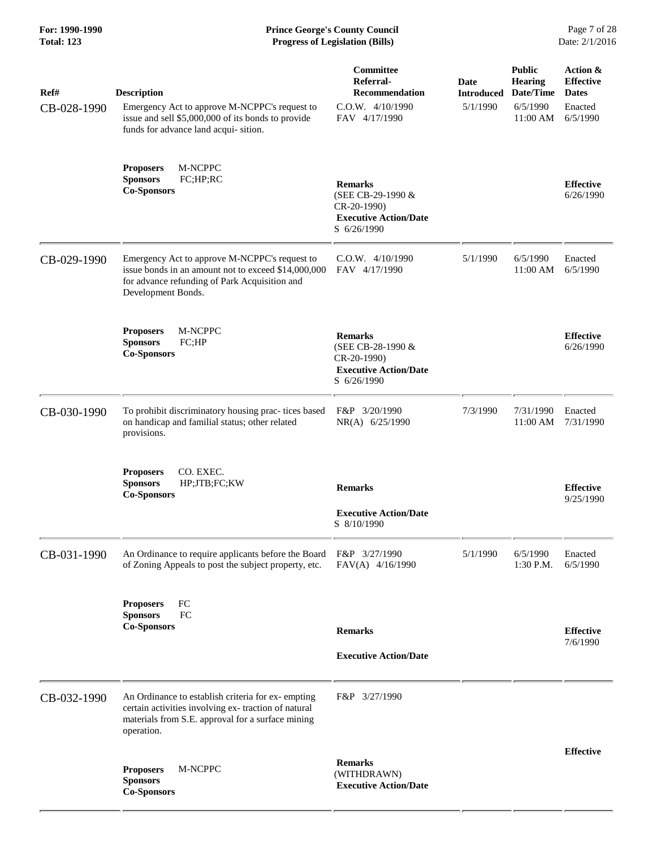| Ref#<br>CB-028-1990 | <b>Description</b><br>Emergency Act to approve M-NCPPC's request to<br>issue and sell \$5,000,000 of its bonds to provide<br>funds for advance land acqui-sition.            | Committee<br>Referral-<br><b>Recommendation</b><br>C.O.W. 4/10/1990<br>FAV 4/17/1990              | Date<br><b>Introduced</b><br>5/1/1990 | <b>Public</b><br><b>Hearing</b><br>Date/Time<br>6/5/1990<br>11:00 AM | Action &<br><b>Effective</b><br><b>Dates</b><br>Enacted<br>6/5/1990 |
|---------------------|------------------------------------------------------------------------------------------------------------------------------------------------------------------------------|---------------------------------------------------------------------------------------------------|---------------------------------------|----------------------------------------------------------------------|---------------------------------------------------------------------|
|                     | M-NCPPC<br><b>Proposers</b><br>FC;HP;RC<br><b>Sponsors</b><br><b>Co-Sponsors</b>                                                                                             | <b>Remarks</b><br>(SEE CB-29-1990 &<br>CR-20-1990)<br><b>Executive Action/Date</b><br>S 6/26/1990 |                                       |                                                                      | <b>Effective</b><br>6/26/1990                                       |
| CB-029-1990         | Emergency Act to approve M-NCPPC's request to<br>issue bonds in an amount not to exceed \$14,000,000<br>for advance refunding of Park Acquisition and<br>Development Bonds.  | $C.O.W.$ 4/10/1990<br>FAV 4/17/1990                                                               | 5/1/1990                              | 6/5/1990<br>11:00 AM                                                 | Enacted<br>6/5/1990                                                 |
|                     | M-NCPPC<br><b>Proposers</b><br><b>Sponsors</b><br>FC;HP<br><b>Co-Sponsors</b>                                                                                                | <b>Remarks</b><br>(SEE CB-28-1990 &<br>CR-20-1990)<br><b>Executive Action/Date</b><br>S 6/26/1990 |                                       |                                                                      | <b>Effective</b><br>6/26/1990                                       |
| CB-030-1990         | To prohibit discriminatory housing prac- tices based<br>on handicap and familial status; other related<br>provisions.                                                        | F&P 3/20/1990<br>NR(A) 6/25/1990                                                                  | 7/3/1990                              | 7/31/1990<br>11:00 AM                                                | Enacted<br>7/31/1990                                                |
|                     | CO. EXEC.<br><b>Proposers</b><br><b>Sponsors</b><br>HP;JTB;FC;KW<br><b>Co-Sponsors</b>                                                                                       | <b>Remarks</b><br><b>Executive Action/Date</b><br>S 8/10/1990                                     |                                       |                                                                      | <b>Effective</b><br>9/25/1990                                       |
| CB-031-1990         | An Ordinance to require applicants before the Board<br>of Zoning Appeals to post the subject property, etc.                                                                  | F&P 3/27/1990<br>FAV(A) 4/16/1990                                                                 | 5/1/1990                              | 6/5/1990<br>1:30 P.M.                                                | Enacted<br>6/5/1990                                                 |
|                     | FC<br><b>Proposers</b><br>FC<br><b>Sponsors</b><br><b>Co-Sponsors</b>                                                                                                        | <b>Remarks</b><br><b>Executive Action/Date</b>                                                    |                                       |                                                                      | <b>Effective</b><br>7/6/1990                                        |
| CB-032-1990         | An Ordinance to establish criteria for ex-empting<br>certain activities involving ex- traction of natural<br>materials from S.E. approval for a surface mining<br>operation. | F&P 3/27/1990                                                                                     |                                       |                                                                      |                                                                     |
|                     | M-NCPPC<br><b>Proposers</b><br><b>Sponsors</b><br><b>Co-Sponsors</b>                                                                                                         | <b>Remarks</b><br>(WITHDRAWN)<br><b>Executive Action/Date</b>                                     |                                       |                                                                      | <b>Effective</b>                                                    |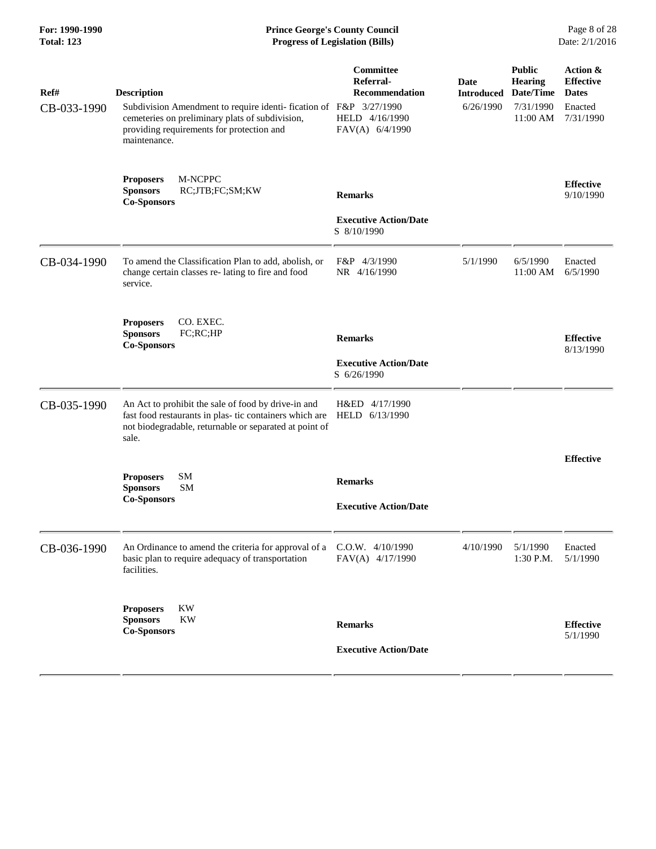#### **For: 1990-1990 Prince George's County Council** Page 8 of 28<br> **Formal** Page 8 of 28<br> **Progress of Legislation (Bills)** Date: 2/1/2016 **Total: 123 Progress of Legislation (Bills)**

| Ref#<br>CB-033-1990 | <b>Description</b><br>Subdivision Amendment to require identi-fication of F&P 3/27/1990<br>cemeteries on preliminary plats of subdivision,<br>providing requirements for protection and<br>maintenance. | Committee<br>Referral-<br>Recommendation<br>HELD 4/16/1990<br>FAV(A) 6/4/1990 | Date<br><b>Introduced</b><br>6/26/1990 | <b>Public</b><br><b>Hearing</b><br>Date/Time<br>7/31/1990<br>11:00 AM | Action &<br><b>Effective</b><br><b>Dates</b><br>Enacted<br>7/31/1990 |
|---------------------|---------------------------------------------------------------------------------------------------------------------------------------------------------------------------------------------------------|-------------------------------------------------------------------------------|----------------------------------------|-----------------------------------------------------------------------|----------------------------------------------------------------------|
|                     | M-NCPPC<br><b>Proposers</b><br><b>Sponsors</b><br>RC;JTB;FC;SM;KW<br><b>Co-Sponsors</b>                                                                                                                 | <b>Remarks</b><br><b>Executive Action/Date</b><br>S 8/10/1990                 |                                        |                                                                       | <b>Effective</b><br>9/10/1990                                        |
| CB-034-1990         | To amend the Classification Plan to add, abolish, or<br>change certain classes re-lating to fire and food<br>service.                                                                                   | F&P 4/3/1990<br>NR 4/16/1990                                                  | 5/1/1990                               | 6/5/1990<br>11:00 AM                                                  | Enacted<br>6/5/1990                                                  |
|                     | CO. EXEC.<br><b>Proposers</b><br><b>Sponsors</b><br>FC;RC;HP<br><b>Co-Sponsors</b>                                                                                                                      | <b>Remarks</b><br><b>Executive Action/Date</b><br>S 6/26/1990                 |                                        |                                                                       | <b>Effective</b><br>8/13/1990                                        |
| CB-035-1990         | An Act to prohibit the sale of food by drive-in and<br>fast food restaurants in plas- tic containers which are<br>not biodegradable, returnable or separated at point of<br>sale.                       | H&ED 4/17/1990<br>HELD 6/13/1990                                              |                                        |                                                                       |                                                                      |
|                     | SM<br><b>Proposers</b><br><b>Sponsors</b><br><b>SM</b><br><b>Co-Sponsors</b>                                                                                                                            | <b>Remarks</b><br><b>Executive Action/Date</b>                                |                                        |                                                                       | <b>Effective</b>                                                     |
| CB-036-1990         | An Ordinance to amend the criteria for approval of a<br>basic plan to require adequacy of transportation<br>facilities.                                                                                 | C.O.W. 4/10/1990<br>FAV(A) 4/17/1990                                          | 4/10/1990                              | 5/1/1990<br>1:30 P.M.                                                 | Enacted<br>5/1/1990                                                  |
|                     | KW<br><b>Proposers</b><br>KW<br><b>Sponsors</b><br><b>Co-Sponsors</b>                                                                                                                                   | <b>Remarks</b><br><b>Executive Action/Date</b>                                |                                        |                                                                       | <b>Effective</b><br>5/1/1990                                         |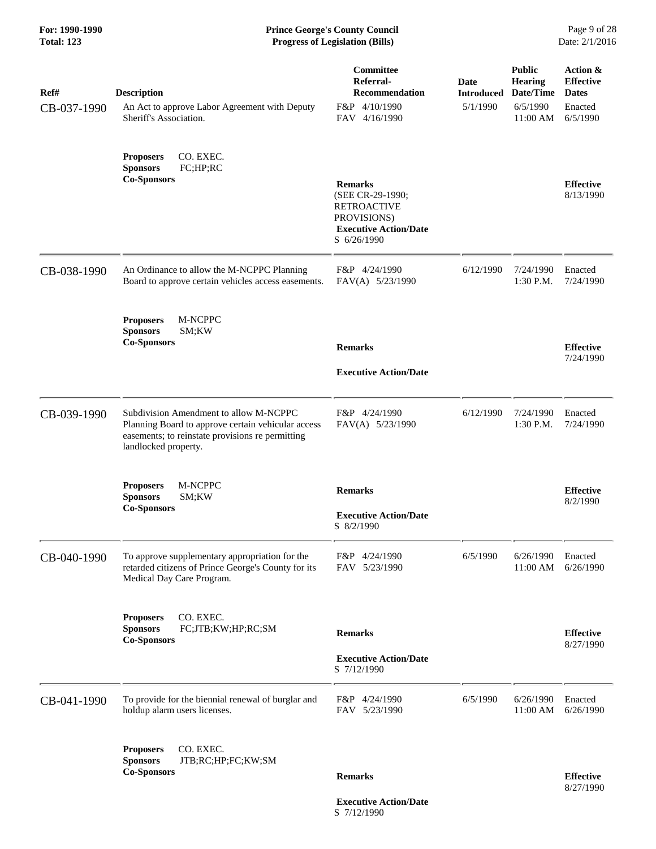| Ref#        | <b>Description</b>                                                                                                                                                       | Committee<br>Referral-<br><b>Recommendation</b>                                                                        | Date<br><b>Introduced</b> | <b>Public</b><br><b>Hearing</b><br>Date/Time | Action &<br><b>Effective</b><br><b>Dates</b> |
|-------------|--------------------------------------------------------------------------------------------------------------------------------------------------------------------------|------------------------------------------------------------------------------------------------------------------------|---------------------------|----------------------------------------------|----------------------------------------------|
| CB-037-1990 | An Act to approve Labor Agreement with Deputy<br>Sheriff's Association.                                                                                                  | F&P 4/10/1990<br>FAV 4/16/1990                                                                                         | 5/1/1990                  | 6/5/1990<br>11:00 AM                         | Enacted<br>6/5/1990                          |
|             | CO. EXEC.<br><b>Proposers</b><br><b>Sponsors</b><br>FC;HP;RC<br><b>Co-Sponsors</b>                                                                                       | <b>Remarks</b><br>(SEE CR-29-1990;<br><b>RETROACTIVE</b><br>PROVISIONS)<br><b>Executive Action/Date</b><br>S 6/26/1990 |                           |                                              | <b>Effective</b><br>8/13/1990                |
| CB-038-1990 | An Ordinance to allow the M-NCPPC Planning<br>Board to approve certain vehicles access easements.                                                                        | F&P 4/24/1990<br>FAV(A) 5/23/1990                                                                                      | 6/12/1990                 | 7/24/1990<br>$1:30$ P.M.                     | Enacted<br>7/24/1990                         |
|             | M-NCPPC<br><b>Proposers</b><br><b>Sponsors</b><br>SM;KW<br><b>Co-Sponsors</b>                                                                                            | <b>Remarks</b><br><b>Executive Action/Date</b>                                                                         |                           |                                              | <b>Effective</b><br>7/24/1990                |
| CB-039-1990 | Subdivision Amendment to allow M-NCPPC<br>Planning Board to approve certain vehicular access<br>easements; to reinstate provisions re permitting<br>landlocked property. | F&P 4/24/1990<br>FAV(A) 5/23/1990                                                                                      | 6/12/1990                 | 7/24/1990<br>$1:30$ P.M.                     | Enacted<br>7/24/1990                         |
|             | M-NCPPC<br><b>Proposers</b><br><b>Sponsors</b><br>SM;KW<br><b>Co-Sponsors</b>                                                                                            | <b>Remarks</b><br><b>Executive Action/Date</b><br>S 8/2/1990                                                           |                           |                                              | <b>Effective</b><br>8/2/1990                 |
| CB-040-1990 | To approve supplementary appropriation for the<br>retarded citizens of Prince George's County for its<br>Medical Day Care Program.                                       | F&P 4/24/1990<br>FAV 5/23/1990                                                                                         | 6/5/1990                  | 6/26/1990<br>11:00 AM                        | Enacted<br>6/26/1990                         |
|             | CO. EXEC.<br><b>Proposers</b><br><b>Sponsors</b><br>FC;JTB;KW;HP;RC;SM<br><b>Co-Sponsors</b>                                                                             | <b>Remarks</b><br><b>Executive Action/Date</b><br>S 7/12/1990                                                          |                           |                                              | <b>Effective</b><br>8/27/1990                |
| CB-041-1990 | To provide for the biennial renewal of burglar and<br>holdup alarm users licenses.                                                                                       | F&P 4/24/1990<br>FAV 5/23/1990                                                                                         | 6/5/1990                  | 6/26/1990<br>11:00 AM                        | Enacted<br>6/26/1990                         |
|             | CO. EXEC.<br><b>Proposers</b><br><b>Sponsors</b><br>JTB;RC;HP;FC;KW;SM<br><b>Co-Sponsors</b>                                                                             | <b>Remarks</b><br><b>Executive Action/Date</b>                                                                         |                           |                                              | <b>Effective</b><br>8/27/1990                |

S 7/12/1990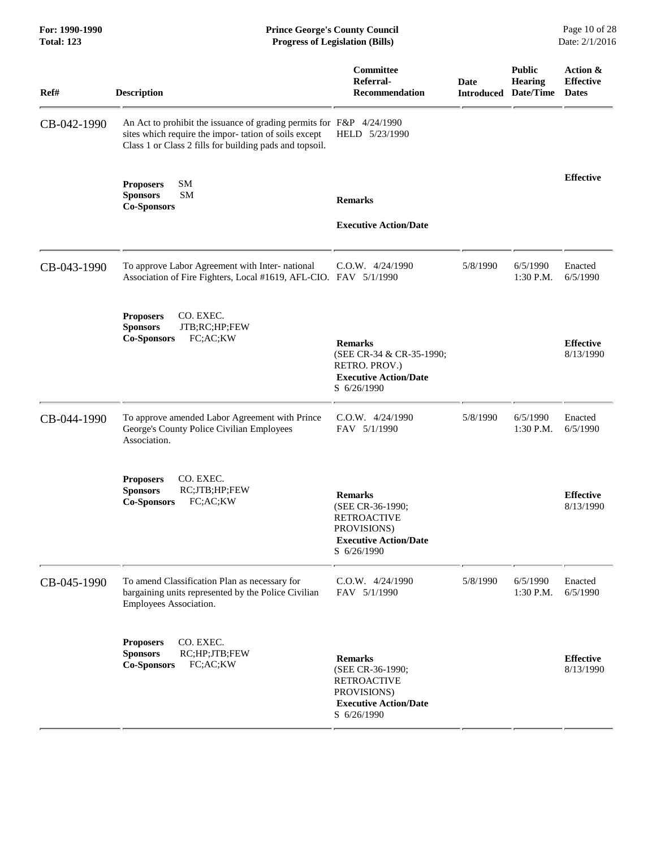| For: 1990-1990<br><b>Total: 123</b> | <b>Prince George's County Council</b><br><b>Progress of Legislation (Bills)</b>                                                                                                         |                                                                                                                        |                                            |                                 | Page 10 of 28<br>Date: 2/1/2016              |
|-------------------------------------|-----------------------------------------------------------------------------------------------------------------------------------------------------------------------------------------|------------------------------------------------------------------------------------------------------------------------|--------------------------------------------|---------------------------------|----------------------------------------------|
| Ref#                                | <b>Description</b>                                                                                                                                                                      | Committee<br>Referral-<br>Recommendation                                                                               | <b>Date</b><br><b>Introduced Date/Time</b> | <b>Public</b><br><b>Hearing</b> | Action &<br><b>Effective</b><br><b>Dates</b> |
| CB-042-1990                         | An Act to prohibit the issuance of grading permits for F&P 4/24/1990<br>sites which require the impor-tation of soils except<br>Class 1 or Class 2 fills for building pads and topsoil. | HELD 5/23/1990                                                                                                         |                                            |                                 |                                              |
|                                     | SM<br><b>Proposers</b><br><b>SM</b><br><b>Sponsors</b><br><b>Co-Sponsors</b>                                                                                                            | <b>Remarks</b><br><b>Executive Action/Date</b>                                                                         |                                            |                                 | <b>Effective</b>                             |
| CB-043-1990                         | To approve Labor Agreement with Inter- national<br>Association of Fire Fighters, Local #1619, AFL-CIO. FAV 5/1/1990                                                                     | C.O.W. 4/24/1990                                                                                                       | 5/8/1990                                   | 6/5/1990<br>1:30 P.M.           | Enacted<br>6/5/1990                          |
|                                     | <b>Proposers</b><br>CO. EXEC.<br>JTB;RC;HP;FEW<br><b>Sponsors</b><br>FC;AC;KW<br><b>Co-Sponsors</b>                                                                                     | <b>Remarks</b><br>(SEE CR-34 & CR-35-1990;<br>RETRO. PROV.)<br><b>Executive Action/Date</b><br>S 6/26/1990             |                                            |                                 | <b>Effective</b><br>8/13/1990                |
| CB-044-1990                         | To approve amended Labor Agreement with Prince<br>George's County Police Civilian Employees<br>Association.                                                                             | $C.0.W.$ 4/24/1990<br>FAV 5/1/1990                                                                                     | 5/8/1990                                   | 6/5/1990<br>1:30 P.M.           | Enacted<br>6/5/1990                          |
|                                     | CO. EXEC.<br><b>Proposers</b><br>RC;JTB;HP;FEW<br><b>Sponsors</b><br><b>Co-Sponsors</b><br>FC;AC;KW                                                                                     | <b>Remarks</b><br>(SEE CR-36-1990;<br><b>RETROACTIVE</b><br>PROVISIONS)<br><b>Executive Action/Date</b><br>S 6/26/1990 |                                            |                                 | <b>Effective</b><br>8/13/1990                |
| CB-045-1990                         | To amend Classification Plan as necessary for<br>bargaining units represented by the Police Civilian<br>Employees Association.                                                          | $C.0.W.$ 4/24/1990<br>FAV 5/1/1990                                                                                     | 5/8/1990                                   | 6/5/1990<br>1:30 P.M.           | Enacted<br>6/5/1990                          |
|                                     | CO. EXEC.<br><b>Proposers</b><br><b>Sponsors</b><br>RC;HP;JTB;FEW<br>FC;AC;KW<br><b>Co-Sponsors</b>                                                                                     | <b>Remarks</b><br>(SEE CR-36-1990;<br><b>RETROACTIVE</b><br>PROVISIONS)<br><b>Executive Action/Date</b><br>S 6/26/1990 |                                            |                                 | <b>Effective</b><br>8/13/1990                |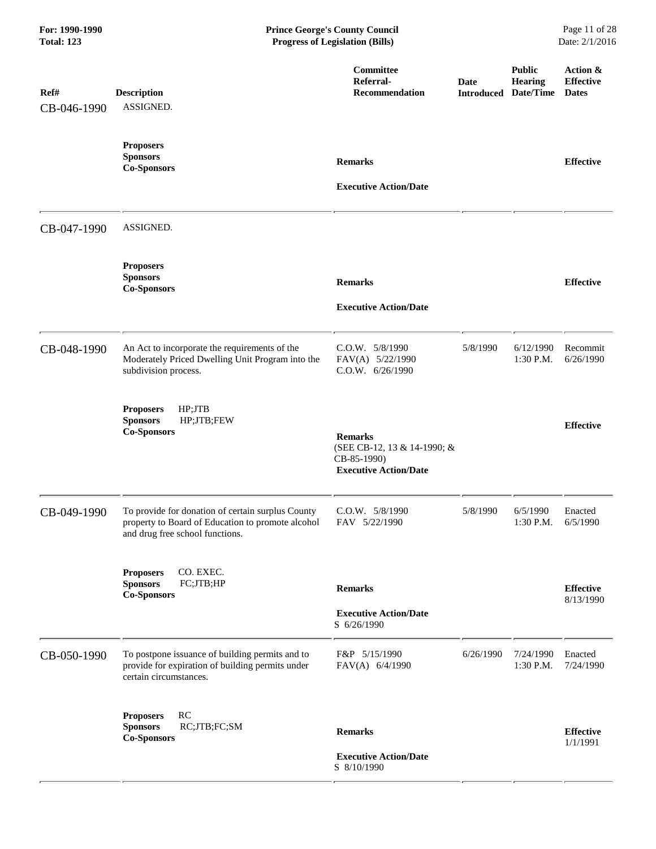| For: 1990-1990<br><b>Total: 123</b> | <b>Prince George's County Council</b><br><b>Progress of Legislation (Bills)</b>                                                           |                                                                                              |                                     |                          | Page 11 of 28<br>Date: 2/1/2016              |
|-------------------------------------|-------------------------------------------------------------------------------------------------------------------------------------------|----------------------------------------------------------------------------------------------|-------------------------------------|--------------------------|----------------------------------------------|
| Ref#<br>CB-046-1990                 | <b>Description</b><br>ASSIGNED.                                                                                                           | Committee<br>Referral-<br><b>Recommendation</b>                                              | Date<br><b>Introduced Date/Time</b> | <b>Public</b><br>Hearing | Action &<br><b>Effective</b><br><b>Dates</b> |
|                                     | <b>Proposers</b><br><b>Sponsors</b><br><b>Co-Sponsors</b>                                                                                 | <b>Remarks</b><br><b>Executive Action/Date</b>                                               |                                     |                          | <b>Effective</b>                             |
| CB-047-1990                         | ASSIGNED.                                                                                                                                 |                                                                                              |                                     |                          |                                              |
|                                     | <b>Proposers</b><br><b>Sponsors</b><br><b>Co-Sponsors</b>                                                                                 | <b>Remarks</b><br><b>Executive Action/Date</b>                                               |                                     |                          | <b>Effective</b>                             |
| CB-048-1990                         | An Act to incorporate the requirements of the<br>Moderately Priced Dwelling Unit Program into the<br>subdivision process.                 | C.O.W. 5/8/1990<br>FAV(A) 5/22/1990<br>C.0.W. 6/26/1990                                      | 5/8/1990                            | 6/12/1990<br>1:30 P.M.   | Recommit<br>6/26/1990                        |
|                                     | HP;JTB<br><b>Proposers</b><br>HP;JTB;FEW<br><b>Sponsors</b><br><b>Co-Sponsors</b>                                                         | <b>Remarks</b><br>(SEE CB-12, 13 & 14-1990; &<br>CB-85-1990)<br><b>Executive Action/Date</b> |                                     |                          | <b>Effective</b>                             |
| CB-049-1990                         | To provide for donation of certain surplus County<br>property to Board of Education to promote alcohol<br>and drug free school functions. | $C.0.W.$ $5/8/1990$<br>FAV 5/22/1990                                                         | 5/8/1990                            | 6/5/1990<br>1:30 P.M.    | Enacted<br>6/5/1990                          |
|                                     | CO. EXEC.<br><b>Proposers</b><br><b>Sponsors</b><br>FC;JTB;HP<br><b>Co-Sponsors</b>                                                       | <b>Remarks</b><br><b>Executive Action/Date</b><br>S 6/26/1990                                |                                     |                          | <b>Effective</b><br>8/13/1990                |
| CB-050-1990                         | To postpone issuance of building permits and to<br>provide for expiration of building permits under<br>certain circumstances.             | F&P 5/15/1990<br>FAV(A) 6/4/1990                                                             | 6/26/1990                           | 7/24/1990<br>1:30 P.M.   | Enacted<br>7/24/1990                         |
|                                     | RC<br><b>Proposers</b><br><b>Sponsors</b><br>RC;JTB;FC;SM<br><b>Co-Sponsors</b>                                                           | <b>Remarks</b><br><b>Executive Action/Date</b><br>S 8/10/1990                                |                                     |                          | <b>Effective</b><br>1/1/1991                 |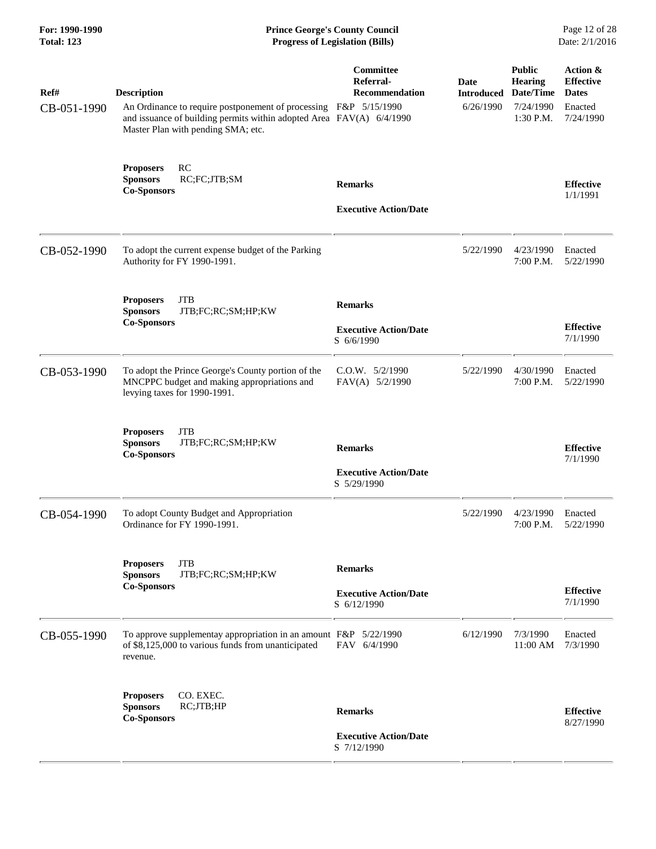| For: 1990-1990<br><b>Total: 123</b> | <b>Prince George's County Council</b><br><b>Progress of Legislation (Bills)</b>                                                                                                                      |                                                               |                                        |                                                                        | Page 12 of 28<br>Date: 2/1/2016                                      |  |
|-------------------------------------|------------------------------------------------------------------------------------------------------------------------------------------------------------------------------------------------------|---------------------------------------------------------------|----------------------------------------|------------------------------------------------------------------------|----------------------------------------------------------------------|--|
| Ref#<br>CB-051-1990                 | <b>Description</b><br>An Ordinance to require postponement of processing F&P 5/15/1990<br>and issuance of building permits within adopted Area FAV(A) 6/4/1990<br>Master Plan with pending SMA; etc. | Committee<br>Referral-<br><b>Recommendation</b>               | Date<br><b>Introduced</b><br>6/26/1990 | <b>Public</b><br><b>Hearing</b><br>Date/Time<br>7/24/1990<br>1:30 P.M. | Action &<br><b>Effective</b><br><b>Dates</b><br>Enacted<br>7/24/1990 |  |
|                                     | RC<br><b>Proposers</b><br><b>Sponsors</b><br>RC;FC;JTB;SM<br><b>Co-Sponsors</b>                                                                                                                      | <b>Remarks</b><br><b>Executive Action/Date</b>                |                                        |                                                                        | <b>Effective</b><br>1/1/1991                                         |  |
| CB-052-1990                         | To adopt the current expense budget of the Parking<br>Authority for FY 1990-1991.                                                                                                                    |                                                               | 5/22/1990                              | 4/23/1990<br>7:00 P.M.                                                 | Enacted<br>5/22/1990                                                 |  |
|                                     | <b>JTB</b><br><b>Proposers</b><br>JTB;FC;RC;SM;HP;KW<br><b>Sponsors</b><br><b>Co-Sponsors</b>                                                                                                        | <b>Remarks</b><br><b>Executive Action/Date</b><br>S 6/6/1990  |                                        |                                                                        | <b>Effective</b><br>7/1/1990                                         |  |
| CB-053-1990                         | To adopt the Prince George's County portion of the<br>MNCPPC budget and making appropriations and<br>levying taxes for 1990-1991.                                                                    | C.O.W. 5/2/1990<br>FAV(A) 5/2/1990                            | 5/22/1990                              | 4/30/1990<br>7:00 P.M.                                                 | Enacted<br>5/22/1990                                                 |  |
|                                     | <b>Proposers</b><br><b>JTB</b><br><b>Sponsors</b><br>JTB;FC;RC;SM;HP;KW<br><b>Co-Sponsors</b>                                                                                                        | <b>Remarks</b><br><b>Executive Action/Date</b><br>S 5/29/1990 |                                        |                                                                        | <b>Effective</b><br>7/1/1990                                         |  |
| CB-054-1990                         | To adopt County Budget and Appropriation<br>Ordinance for FY 1990-1991.                                                                                                                              |                                                               | 5/22/1990                              | 4/23/1990<br>7:00 P.M.                                                 | Enacted<br>5/22/1990                                                 |  |
|                                     | <b>JTB</b><br><b>Proposers</b><br>JTB;FC;RC;SM;HP;KW<br><b>Sponsors</b><br><b>Co-Sponsors</b>                                                                                                        | <b>Remarks</b><br><b>Executive Action/Date</b><br>S 6/12/1990 |                                        |                                                                        | <b>Effective</b><br>7/1/1990                                         |  |
| CB-055-1990                         | To approve supplementay appropriation in an amount F&P 5/22/1990<br>of \$8,125,000 to various funds from unanticipated<br>revenue.                                                                   | FAV 6/4/1990                                                  | 6/12/1990                              | 7/3/1990<br>11:00 AM                                                   | Enacted<br>7/3/1990                                                  |  |
|                                     | CO. EXEC.<br><b>Proposers</b><br><b>Sponsors</b><br>RC;JTB;HP<br><b>Co-Sponsors</b>                                                                                                                  | <b>Remarks</b><br><b>Executive Action/Date</b><br>S 7/12/1990 |                                        |                                                                        | <b>Effective</b><br>8/27/1990                                        |  |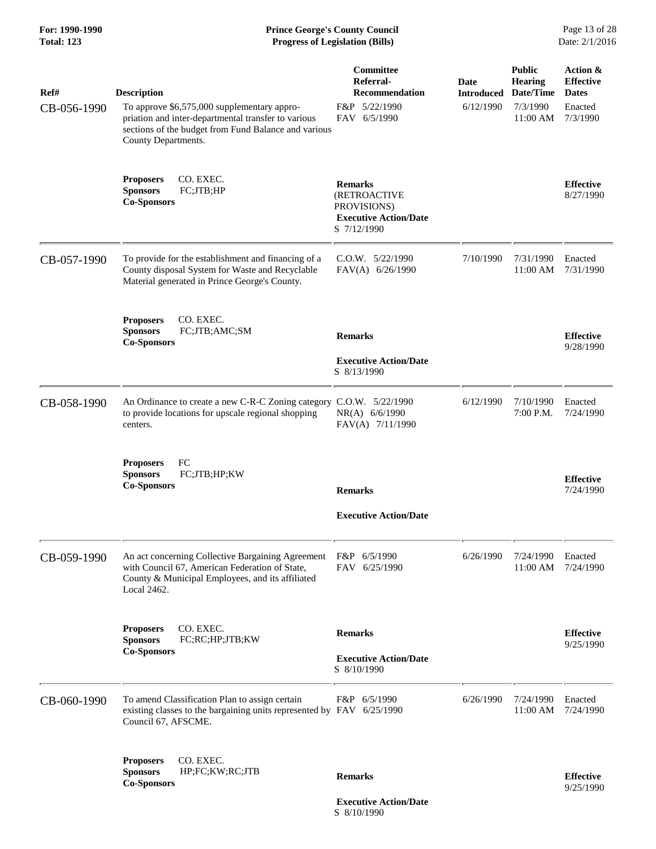#### **For: 1990-1990 Prince George's County Council** Page 13 of 28<br> **Prince George's County Council** Page 13 of 28<br> **Progress of Legislation (Bills)** Date: 2/1/2016 **Total: 123 Progress of Legislation (Bills)**

| Ref#        | <b>Description</b>                                                                                                                                                                | Committee<br>Referral-<br><b>Recommendation</b>                                                     | Date<br><b>Introduced Date/Time</b> | <b>Public</b><br><b>Hearing</b> | Action &<br><b>Effective</b><br><b>Dates</b> |
|-------------|-----------------------------------------------------------------------------------------------------------------------------------------------------------------------------------|-----------------------------------------------------------------------------------------------------|-------------------------------------|---------------------------------|----------------------------------------------|
| CB-056-1990 | To approve \$6,575,000 supplementary appro-<br>priation and inter-departmental transfer to various<br>sections of the budget from Fund Balance and various<br>County Departments. | F&P 5/22/1990<br>FAV 6/5/1990                                                                       | 6/12/1990                           | 7/3/1990<br>11:00 AM            | Enacted<br>7/3/1990                          |
|             | CO. EXEC.<br><b>Proposers</b><br><b>Sponsors</b><br>FC;JTB;HP<br><b>Co-Sponsors</b>                                                                                               | <b>Remarks</b><br><b>(RETROACTIVE</b><br>PROVISIONS)<br><b>Executive Action/Date</b><br>S 7/12/1990 |                                     |                                 | <b>Effective</b><br>8/27/1990                |
| CB-057-1990 | To provide for the establishment and financing of a<br>County disposal System for Waste and Recyclable<br>Material generated in Prince George's County.                           | $C.0.W.$ $5/22/1990$<br>FAV(A) 6/26/1990                                                            | 7/10/1990                           | 7/31/1990<br>11:00 AM           | Enacted<br>7/31/1990                         |
|             | CO. EXEC.<br><b>Proposers</b><br>FC;JTB;AMC;SM<br><b>Sponsors</b><br><b>Co-Sponsors</b>                                                                                           | <b>Remarks</b>                                                                                      |                                     |                                 | <b>Effective</b><br>9/28/1990                |
|             |                                                                                                                                                                                   | <b>Executive Action/Date</b><br>S 8/13/1990                                                         |                                     |                                 |                                              |
| CB-058-1990 | An Ordinance to create a new C-R-C Zoning category C.O.W. 5/22/1990<br>to provide locations for upscale regional shopping<br>centers.                                             | NR(A) 6/6/1990<br>FAV(A) 7/11/1990                                                                  | 6/12/1990                           | 7/10/1990<br>7:00 P.M.          | Enacted<br>7/24/1990                         |
|             | FC<br><b>Proposers</b><br><b>Sponsors</b><br>FC;JTB;HP;KW<br><b>Co-Sponsors</b>                                                                                                   | <b>Remarks</b>                                                                                      |                                     |                                 | <b>Effective</b><br>7/24/1990                |
|             |                                                                                                                                                                                   | <b>Executive Action/Date</b>                                                                        |                                     |                                 |                                              |
| CB-059-1990 | An act concerning Collective Bargaining Agreement<br>with Council 67, American Federation of State,<br>County & Municipal Employees, and its affiliated<br>Local 2462.            | F&P 6/5/1990<br>FAV 6/25/1990                                                                       | 6/26/1990                           | 7/24/1990<br>11:00 AM           | Enacted<br>7/24/1990                         |
|             | CO. EXEC.<br><b>Proposers</b><br>FC;RC;HP;JTB;KW<br><b>Sponsors</b>                                                                                                               | <b>Remarks</b>                                                                                      |                                     |                                 | <b>Effective</b><br>9/25/1990                |
|             | <b>Co-Sponsors</b>                                                                                                                                                                | <b>Executive Action/Date</b><br>S 8/10/1990                                                         |                                     |                                 |                                              |
| CB-060-1990 | To amend Classification Plan to assign certain<br>existing classes to the bargaining units represented by FAV 6/25/1990<br>Council 67, AFSCME.                                    | F&P 6/5/1990                                                                                        | 6/26/1990                           | 7/24/1990<br>11:00 AM           | Enacted<br>7/24/1990                         |
|             | CO. EXEC.<br><b>Proposers</b><br>HP;FC;KW;RC;JTB<br><b>Sponsors</b><br><b>Co-Sponsors</b>                                                                                         | <b>Remarks</b>                                                                                      |                                     |                                 | <b>Effective</b><br>9/25/1990                |
|             |                                                                                                                                                                                   | <b>Executive Action/Date</b>                                                                        |                                     |                                 |                                              |

S 8/10/1990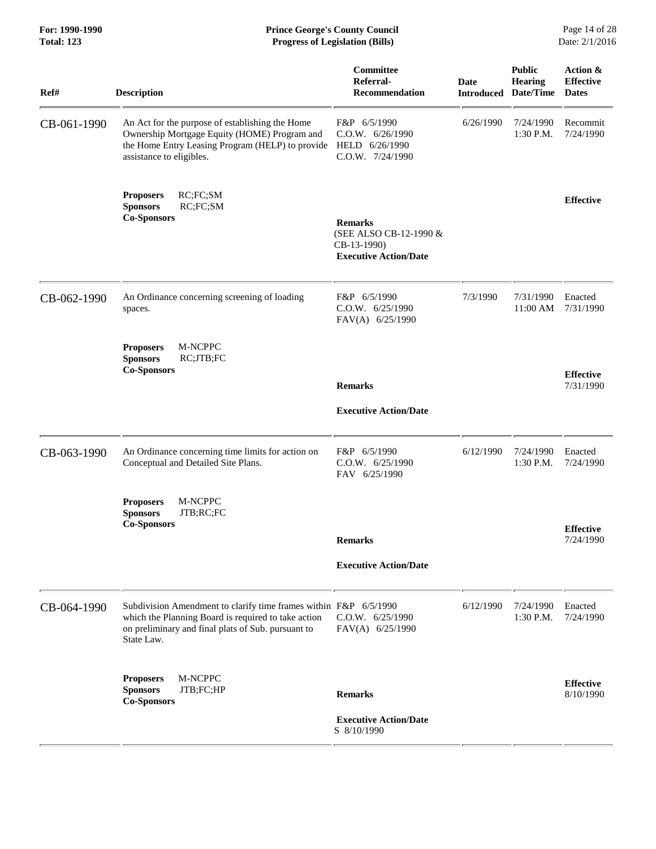| For: 1990-1990<br><b>Total: 123</b> | <b>Prince George's County Council</b><br>Date: 2/1/2016<br><b>Progress of Legislation (Bills)</b>                                                                                           |                                                                                         |                           |                                              |                                              |
|-------------------------------------|---------------------------------------------------------------------------------------------------------------------------------------------------------------------------------------------|-----------------------------------------------------------------------------------------|---------------------------|----------------------------------------------|----------------------------------------------|
| Ref#                                | <b>Description</b>                                                                                                                                                                          | Committee<br>Referral-<br><b>Recommendation</b>                                         | Date<br><b>Introduced</b> | <b>Public</b><br><b>Hearing</b><br>Date/Time | Action &<br><b>Effective</b><br><b>Dates</b> |
| CB-061-1990                         | An Act for the purpose of establishing the Home<br>Ownership Mortgage Equity (HOME) Program and<br>the Home Entry Leasing Program (HELP) to provide<br>assistance to eligibles.             | F&P 6/5/1990<br>C.O.W. 6/26/1990<br>HELD 6/26/1990<br>$C.0.W.$ $7/24/1990$              | 6/26/1990                 | 7/24/1990<br>1:30 P.M.                       | Recommit<br>7/24/1990                        |
|                                     | RC;FC;SM<br><b>Proposers</b><br><b>Sponsors</b><br>RC;FC;SM<br><b>Co-Sponsors</b>                                                                                                           | <b>Remarks</b><br>(SEE ALSO CB-12-1990 &<br>CB-13-1990)<br><b>Executive Action/Date</b> |                           |                                              | <b>Effective</b>                             |
| CB-062-1990                         | An Ordinance concerning screening of loading<br>spaces.                                                                                                                                     | F&P 6/5/1990<br>C.O.W. 6/25/1990<br>FAV(A) 6/25/1990                                    | 7/3/1990                  | 7/31/1990<br>11:00 AM                        | Enacted<br>7/31/1990                         |
|                                     | M-NCPPC<br><b>Proposers</b><br><b>Sponsors</b><br>RC;JTB;FC<br><b>Co-Sponsors</b>                                                                                                           | <b>Remarks</b><br><b>Executive Action/Date</b>                                          |                           |                                              | <b>Effective</b><br>7/31/1990                |
| CB-063-1990                         | An Ordinance concerning time limits for action on<br>Conceptual and Detailed Site Plans.                                                                                                    | F&P 6/5/1990<br>C.O.W. 6/25/1990<br>FAV 6/25/1990                                       | 6/12/1990                 | 7/24/1990<br>1:30 P.M.                       | Enacted<br>7/24/1990                         |
|                                     | M-NCPPC<br><b>Proposers</b><br><b>Sponsors</b><br>JTB;RC;FC<br><b>Co-Sponsors</b>                                                                                                           | <b>Remarks</b>                                                                          |                           |                                              | <b>Effective</b><br>7/24/1990                |
|                                     |                                                                                                                                                                                             | <b>Executive Action/Date</b>                                                            |                           |                                              |                                              |
| CB-064-1990                         | Subdivision Amendment to clarify time frames within F&P 6/5/1990<br>which the Planning Board is required to take action<br>on preliminary and final plats of Sub. pursuant to<br>State Law. | C.O.W. 6/25/1990<br>FAV(A) 6/25/1990                                                    | 6/12/1990                 | 7/24/1990<br>1:30 P.M.                       | Enacted<br>7/24/1990                         |
|                                     | M-NCPPC<br><b>Proposers</b><br><b>Sponsors</b><br>JTB;FC;HP<br><b>Co-Sponsors</b>                                                                                                           | <b>Remarks</b>                                                                          |                           |                                              | <b>Effective</b><br>8/10/1990                |

 **Executive Action/Date** S 8/10/1990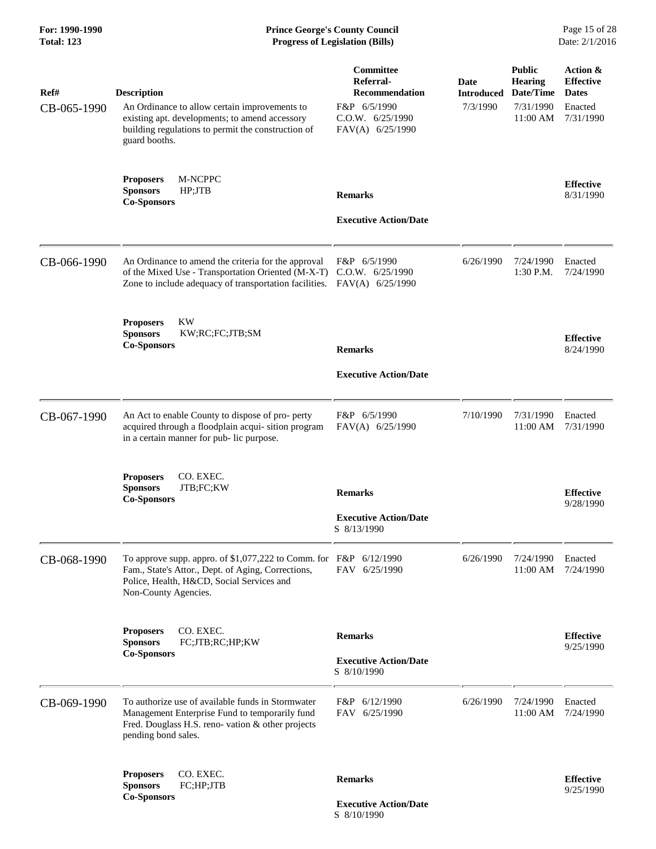# **For: 1990-1990 Prince George's County Council** Page 15 of 28<br> **Prince George's County Council** Page 15 of 28<br> **Progress of Legislation (Bills)** Date: 2/1/2016 **Total: 123 Progress of Legislation (Bills)**

| Ref#<br>CB-065-1990 | <b>Description</b><br>An Ordinance to allow certain improvements to<br>existing apt. developments; to amend accessory<br>building regulations to permit the construction of<br>guard booths. | Committee<br>Referral-<br><b>Recommendation</b><br>F&P 6/5/1990<br>C.O.W. 6/25/1990<br>FAV(A) 6/25/1990 | Date<br><b>Introduced</b><br>7/3/1990 | <b>Public</b><br><b>Hearing</b><br>Date/Time<br>7/31/1990<br>11:00 AM | Action &<br><b>Effective</b><br><b>Dates</b><br>Enacted<br>7/31/1990 |
|---------------------|----------------------------------------------------------------------------------------------------------------------------------------------------------------------------------------------|---------------------------------------------------------------------------------------------------------|---------------------------------------|-----------------------------------------------------------------------|----------------------------------------------------------------------|
|                     | M-NCPPC<br><b>Proposers</b><br><b>Sponsors</b><br>HP;JTB<br><b>Co-Sponsors</b>                                                                                                               | <b>Remarks</b><br><b>Executive Action/Date</b>                                                          |                                       |                                                                       | <b>Effective</b><br>8/31/1990                                        |
| CB-066-1990         | An Ordinance to amend the criteria for the approval<br>of the Mixed Use - Transportation Oriented (M-X-T)<br>Zone to include adequacy of transportation facilities. FAV(A) 6/25/1990         | F&P 6/5/1990<br>C.O.W. 6/25/1990                                                                        | 6/26/1990                             | 7/24/1990<br>1:30 P.M.                                                | Enacted<br>7/24/1990                                                 |
|                     | <b>KW</b><br><b>Proposers</b><br>KW;RC;FC;JTB;SM<br><b>Sponsors</b><br><b>Co-Sponsors</b>                                                                                                    | <b>Remarks</b><br><b>Executive Action/Date</b>                                                          |                                       |                                                                       | <b>Effective</b><br>8/24/1990                                        |
| CB-067-1990         | An Act to enable County to dispose of pro- perty<br>acquired through a floodplain acqui-sition program<br>in a certain manner for pub- lic purpose.                                          | F&P 6/5/1990<br>FAV(A) 6/25/1990                                                                        | 7/10/1990                             | 7/31/1990<br>11:00 AM                                                 | Enacted<br>7/31/1990                                                 |
|                     | <b>Proposers</b><br>CO. EXEC.<br>JTB;FC;KW<br><b>Sponsors</b><br><b>Co-Sponsors</b>                                                                                                          | <b>Remarks</b><br><b>Executive Action/Date</b><br>S 8/13/1990                                           |                                       |                                                                       | <b>Effective</b><br>9/28/1990                                        |
| CB-068-1990         | To approve supp. appro. of \$1,077,222 to Comm. for F&P 6/12/1990<br>Fam., State's Attor., Dept. of Aging, Corrections,<br>Police, Health, H&CD, Social Services and<br>Non-County Agencies. | FAV 6/25/1990                                                                                           | 6/26/1990                             | 7/24/1990<br>11:00 AM                                                 | Enacted<br>7/24/1990                                                 |
|                     | CO. EXEC.<br><b>Proposers</b><br>FC;JTB;RC;HP;KW<br><b>Sponsors</b><br><b>Co-Sponsors</b>                                                                                                    | <b>Remarks</b><br><b>Executive Action/Date</b><br>S 8/10/1990                                           |                                       |                                                                       | <b>Effective</b><br>9/25/1990                                        |
| CB-069-1990         | To authorize use of available funds in Stormwater<br>Management Enterprise Fund to temporarily fund<br>Fred. Douglass H.S. reno-vation & other projects<br>pending bond sales.               | F&P 6/12/1990<br>FAV 6/25/1990                                                                          | 6/26/1990                             | 7/24/1990<br>11:00 AM                                                 | Enacted<br>7/24/1990                                                 |
|                     | CO. EXEC.<br><b>Proposers</b><br><b>Sponsors</b><br>FC;HP;JTB<br><b>Co-Sponsors</b>                                                                                                          | <b>Remarks</b><br><b>Executive Action/Date</b>                                                          |                                       |                                                                       | <b>Effective</b><br>9/25/1990                                        |

S 8/10/1990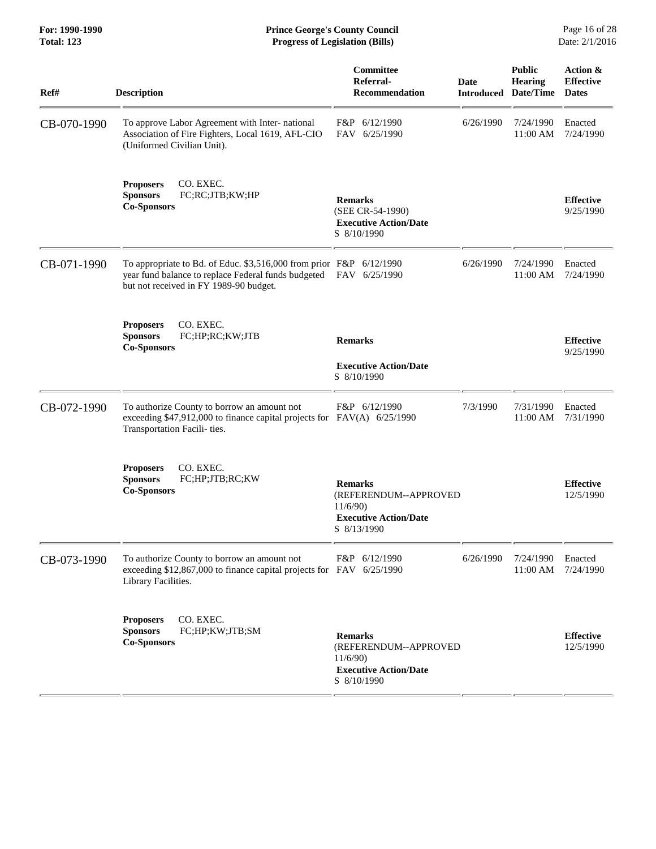#### **For: 1990-1990 Prince George's County Council** Page 16 of 28<br> **Prince George's County Council** Page 16 of 28<br> **Progress of Legislation (Bills)** Date: 2/1/2016 **Total: 123 Progress of Legislation (Bills)**

| Ref#        | <b>Description</b>                                                                                                                                                   | Committee<br>Referral-<br><b>Recommendation</b>                                                   | <b>Date</b> | <b>Public</b><br>Hearing<br><b>Introduced Date/Time</b> | Action &<br><b>Effective</b><br><b>Dates</b> |
|-------------|----------------------------------------------------------------------------------------------------------------------------------------------------------------------|---------------------------------------------------------------------------------------------------|-------------|---------------------------------------------------------|----------------------------------------------|
| CB-070-1990 | To approve Labor Agreement with Inter- national<br>Association of Fire Fighters, Local 1619, AFL-CIO<br>(Uniformed Civilian Unit).                                   | F&P 6/12/1990<br>FAV 6/25/1990                                                                    | 6/26/1990   | 7/24/1990<br>11:00 AM                                   | Enacted<br>7/24/1990                         |
|             | CO. EXEC.<br><b>Proposers</b><br><b>Sponsors</b><br>FC;RC;JTB;KW;HP<br><b>Co-Sponsors</b>                                                                            | <b>Remarks</b><br>(SEE CR-54-1990)<br><b>Executive Action/Date</b><br>S 8/10/1990                 |             |                                                         | <b>Effective</b><br>9/25/1990                |
| CB-071-1990 | To appropriate to Bd. of Educ. \$3,516,000 from prior F&P 6/12/1990<br>year fund balance to replace Federal funds budgeted<br>but not received in FY 1989-90 budget. | FAV 6/25/1990                                                                                     | 6/26/1990   | 7/24/1990<br>11:00 AM                                   | Enacted<br>7/24/1990                         |
|             | CO. EXEC.<br><b>Proposers</b><br><b>Sponsors</b><br>FC;HP;RC;KW;JTB<br><b>Co-Sponsors</b>                                                                            | <b>Remarks</b><br><b>Executive Action/Date</b><br>S 8/10/1990                                     |             |                                                         | <b>Effective</b><br>9/25/1990                |
| CB-072-1990 | To authorize County to borrow an amount not<br>exceeding \$47,912,000 to finance capital projects for<br>Transportation Facili- ties.                                | F&P 6/12/1990<br>$FAV(A)$ 6/25/1990                                                               | 7/3/1990    | 7/31/1990<br>11:00 AM                                   | Enacted<br>7/31/1990                         |
|             | <b>Proposers</b><br>CO. EXEC.<br><b>Sponsors</b><br>FC;HP;JTB;RC;KW<br><b>Co-Sponsors</b>                                                                            | <b>Remarks</b><br>(REFERENDUM--APPROVED<br>11/6/90<br><b>Executive Action/Date</b><br>S 8/13/1990 |             |                                                         | <b>Effective</b><br>12/5/1990                |
| CB-073-1990 | To authorize County to borrow an amount not<br>exceeding \$12,867,000 to finance capital projects for FAV 6/25/1990<br>Library Facilities.                           | F&P 6/12/1990                                                                                     | 6/26/1990   | 7/24/1990<br>11:00 AM                                   | Enacted<br>7/24/1990                         |
|             | CO. EXEC.<br><b>Proposers</b><br><b>Sponsors</b><br>FC;HP;KW;JTB;SM<br><b>Co-Sponsors</b>                                                                            | <b>Remarks</b><br>(REFERENDUM--APPROVED<br>11/6/90<br><b>Executive Action/Date</b><br>S 8/10/1990 |             |                                                         | <b>Effective</b><br>12/5/1990                |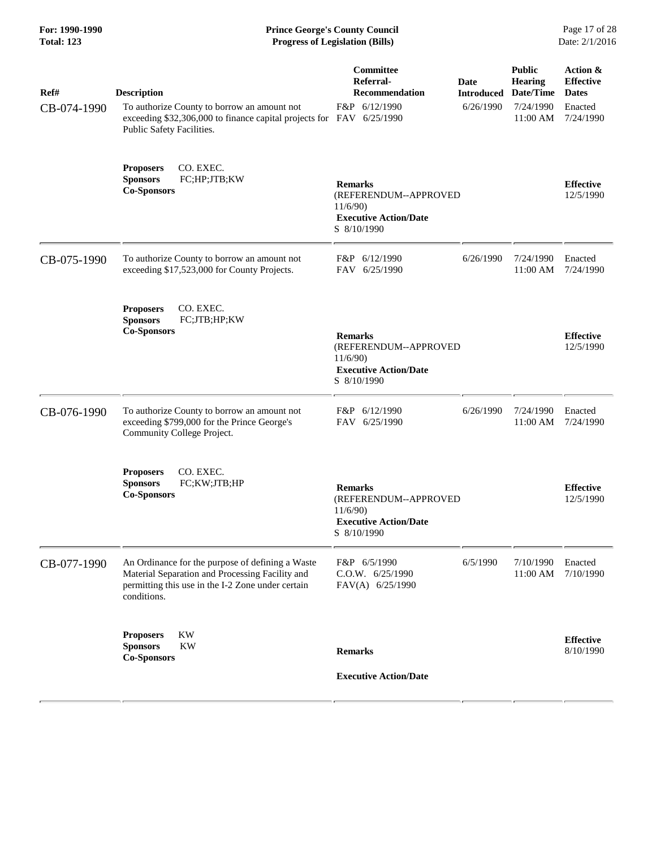| For: 1990-1990    |
|-------------------|
| <b>Total: 123</b> |

**Prince George's County Council** Page 17 of 28<br>**Progress of Legislation (Bills)** Date: 2/1/2016  $Progress$  of Legislation (Bills)

| Ref#<br>CB-074-1990 | <b>Description</b><br>To authorize County to borrow an amount not<br>exceeding \$32,306,000 to finance capital projects for FAV 6/25/1990<br>Public Safety Facilities.  | Committee<br>Referral-<br><b>Recommendation</b><br>F&P 6/12/1990                                  | Date<br><b>Introduced</b><br>6/26/1990 | <b>Public</b><br><b>Hearing</b><br>Date/Time<br>7/24/1990<br>11:00 AM | Action &<br><b>Effective</b><br><b>Dates</b><br>Enacted<br>7/24/1990 |
|---------------------|-------------------------------------------------------------------------------------------------------------------------------------------------------------------------|---------------------------------------------------------------------------------------------------|----------------------------------------|-----------------------------------------------------------------------|----------------------------------------------------------------------|
|                     | CO. EXEC.<br><b>Proposers</b><br>FC;HP;JTB;KW<br><b>Sponsors</b><br><b>Co-Sponsors</b>                                                                                  | <b>Remarks</b><br>(REFERENDUM--APPROVED<br>11/6/90<br><b>Executive Action/Date</b><br>S 8/10/1990 |                                        |                                                                       | <b>Effective</b><br>12/5/1990                                        |
| CB-075-1990         | To authorize County to borrow an amount not<br>exceeding \$17,523,000 for County Projects.                                                                              | F&P 6/12/1990<br>FAV 6/25/1990                                                                    | 6/26/1990                              | 7/24/1990<br>11:00 AM                                                 | Enacted<br>7/24/1990                                                 |
|                     | CO. EXEC.<br><b>Proposers</b><br><b>Sponsors</b><br>FC;JTB;HP;KW<br><b>Co-Sponsors</b>                                                                                  | <b>Remarks</b><br>(REFERENDUM--APPROVED<br>11/6/90<br><b>Executive Action/Date</b><br>S 8/10/1990 |                                        |                                                                       | <b>Effective</b><br>12/5/1990                                        |
| CB-076-1990         | To authorize County to borrow an amount not<br>exceeding \$799,000 for the Prince George's<br>Community College Project.                                                | F&P 6/12/1990<br>FAV 6/25/1990                                                                    | 6/26/1990                              | 7/24/1990<br>11:00 AM                                                 | Enacted<br>7/24/1990                                                 |
|                     | CO. EXEC.<br><b>Proposers</b><br><b>Sponsors</b><br>FC;KW;JTB;HP<br><b>Co-Sponsors</b>                                                                                  | <b>Remarks</b><br>(REFERENDUM--APPROVED<br>11/6/90<br><b>Executive Action/Date</b><br>S 8/10/1990 |                                        |                                                                       | <b>Effective</b><br>12/5/1990                                        |
| CB-077-1990         | An Ordinance for the purpose of defining a Waste<br>Material Separation and Processing Facility and<br>permitting this use in the I-2 Zone under certain<br>conditions. | F&P 6/5/1990<br>C.O.W. 6/25/1990<br>FAV(A) 6/25/1990                                              | 6/5/1990                               | 7/10/1990<br>11:00 AM                                                 | Enacted<br>7/10/1990                                                 |
|                     | KW<br><b>Proposers</b><br><b>Sponsors</b><br>KW<br><b>Co-Sponsors</b>                                                                                                   | <b>Remarks</b><br><b>Executive Action/Date</b>                                                    |                                        |                                                                       | <b>Effective</b><br>8/10/1990                                        |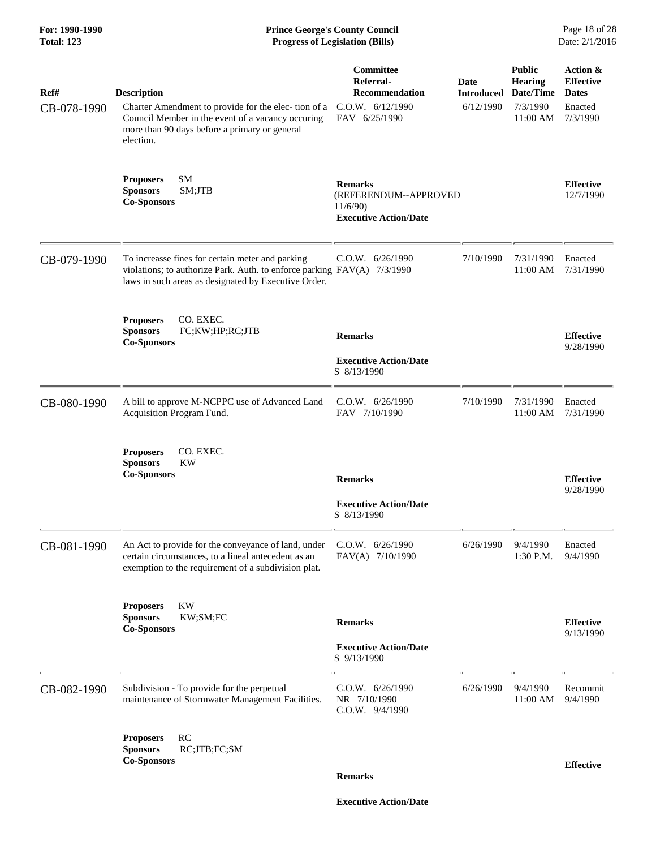| For: 1990-1990<br><b>Total: 123</b> | <b>Prince George's County Council</b><br>Page 18 of 28<br>Date: 2/1/2016<br><b>Progress of Legislation (Bills)</b>                                                                           |                                                                                             |                                        |                                                                      |                                                                     |
|-------------------------------------|----------------------------------------------------------------------------------------------------------------------------------------------------------------------------------------------|---------------------------------------------------------------------------------------------|----------------------------------------|----------------------------------------------------------------------|---------------------------------------------------------------------|
| Ref#<br>CB-078-1990                 | <b>Description</b><br>Charter Amendment to provide for the elec-tion of a<br>Council Member in the event of a vacancy occuring<br>more than 90 days before a primary or general<br>election. | <b>Committee</b><br>Referral-<br><b>Recommendation</b><br>C.0.W. 6/12/1990<br>FAV 6/25/1990 | Date<br><b>Introduced</b><br>6/12/1990 | <b>Public</b><br><b>Hearing</b><br>Date/Time<br>7/3/1990<br>11:00 AM | Action &<br><b>Effective</b><br><b>Dates</b><br>Enacted<br>7/3/1990 |
|                                     | <b>SM</b><br><b>Proposers</b><br><b>Sponsors</b><br>SM;JTB<br><b>Co-Sponsors</b>                                                                                                             | <b>Remarks</b><br>(REFERENDUM--APPROVED<br>11/6/90<br><b>Executive Action/Date</b>          |                                        |                                                                      | <b>Effective</b><br>12/7/1990                                       |
| CB-079-1990                         | To increasse fines for certain meter and parking<br>violations; to authorize Park. Auth. to enforce parking FAV(A) 7/3/1990<br>laws in such areas as designated by Executive Order.          | C.0.W. 6/26/1990                                                                            | 7/10/1990                              | 7/31/1990<br>11:00 AM                                                | Enacted<br>7/31/1990                                                |
|                                     | CO. EXEC.<br><b>Proposers</b><br><b>Sponsors</b><br>FC;KW;HP;RC;JTB<br><b>Co-Sponsors</b>                                                                                                    | <b>Remarks</b><br><b>Executive Action/Date</b><br>S 8/13/1990                               |                                        |                                                                      | <b>Effective</b><br>9/28/1990                                       |
| CB-080-1990                         | A bill to approve M-NCPPC use of Advanced Land<br>Acquisition Program Fund.                                                                                                                  | C.O.W. 6/26/1990<br>FAV 7/10/1990                                                           | 7/10/1990                              | 7/31/1990<br>11:00 AM                                                | Enacted<br>7/31/1990                                                |
|                                     | CO. EXEC.<br><b>Proposers</b><br>KW<br><b>Sponsors</b><br><b>Co-Sponsors</b>                                                                                                                 | <b>Remarks</b><br><b>Executive Action/Date</b><br>S 8/13/1990                               |                                        |                                                                      | <b>Effective</b><br>9/28/1990                                       |
| CB-081-1990                         | An Act to provide for the conveyance of land, under<br>certain circumstances, to a lineal antecedent as an<br>exemption to the requirement of a subdivision plat.                            | $C.0.W.$ 6/26/1990<br>FAV(A) 7/10/1990                                                      | 6/26/1990                              | 9/4/1990<br>1:30 P.M.                                                | Enacted<br>9/4/1990                                                 |
|                                     | KW<br><b>Proposers</b><br>KW;SM;FC<br><b>Sponsors</b><br><b>Co-Sponsors</b>                                                                                                                  | <b>Remarks</b><br><b>Executive Action/Date</b><br>S 9/13/1990                               |                                        |                                                                      | <b>Effective</b><br>9/13/1990                                       |
| CB-082-1990                         | Subdivision - To provide for the perpetual<br>maintenance of Stormwater Management Facilities.                                                                                               | C.O.W. 6/26/1990<br>NR 7/10/1990<br>C.O.W. 9/4/1990                                         | 6/26/1990                              | 9/4/1990<br>11:00 AM                                                 | Recommit<br>9/4/1990                                                |
|                                     | RC<br><b>Proposers</b><br><b>Sponsors</b><br>RC;JTB;FC;SM<br><b>Co-Sponsors</b>                                                                                                              | <b>Remarks</b>                                                                              |                                        |                                                                      | <b>Effective</b>                                                    |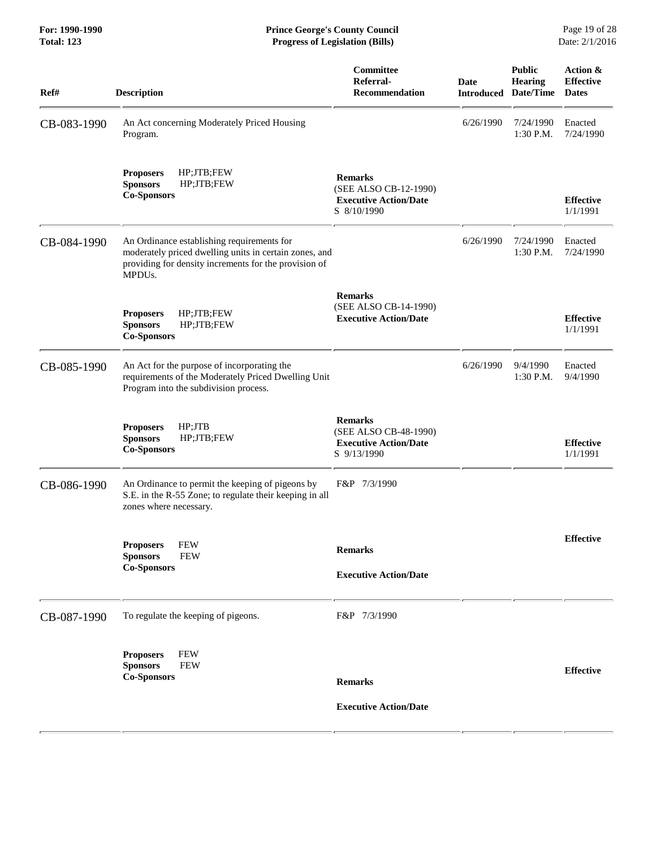| Ref#        | <b>Description</b>                                                                                                                                                                   | Committee<br>Referral-<br><b>Recommendation</b>                                        | Date<br><b>Introduced</b> | <b>Public</b><br><b>Hearing</b><br>Date/Time | Action &<br><b>Effective</b><br><b>Dates</b> |
|-------------|--------------------------------------------------------------------------------------------------------------------------------------------------------------------------------------|----------------------------------------------------------------------------------------|---------------------------|----------------------------------------------|----------------------------------------------|
| CB-083-1990 | An Act concerning Moderately Priced Housing<br>Program.                                                                                                                              |                                                                                        | 6/26/1990                 | 7/24/1990<br>1:30 P.M.                       | Enacted<br>7/24/1990                         |
|             | HP;JTB;FEW<br><b>Proposers</b><br><b>Sponsors</b><br>HP;JTB;FEW<br><b>Co-Sponsors</b>                                                                                                | <b>Remarks</b><br>(SEE ALSO CB-12-1990)<br><b>Executive Action/Date</b><br>S 8/10/1990 |                           |                                              | <b>Effective</b><br>1/1/1991                 |
| CB-084-1990 | An Ordinance establishing requirements for<br>moderately priced dwelling units in certain zones, and<br>providing for density increments for the provision of<br>MPDU <sub>s</sub> . |                                                                                        | 6/26/1990                 | 7/24/1990<br>1:30 P.M.                       | Enacted<br>7/24/1990                         |
|             | HP;JTB;FEW<br><b>Proposers</b><br><b>Sponsors</b><br>HP;JTB;FEW<br><b>Co-Sponsors</b>                                                                                                | <b>Remarks</b><br>(SEE ALSO CB-14-1990)<br><b>Executive Action/Date</b>                |                           |                                              | <b>Effective</b><br>1/1/1991                 |
| CB-085-1990 | An Act for the purpose of incorporating the<br>requirements of the Moderately Priced Dwelling Unit<br>Program into the subdivision process.                                          |                                                                                        | 6/26/1990                 | 9/4/1990<br>1:30 P.M.                        | Enacted<br>9/4/1990                          |
|             | HP;JTB<br><b>Proposers</b><br><b>Sponsors</b><br>HP;JTB;FEW<br><b>Co-Sponsors</b>                                                                                                    | <b>Remarks</b><br>(SEE ALSO CB-48-1990)<br><b>Executive Action/Date</b><br>S 9/13/1990 |                           |                                              | <b>Effective</b><br>1/1/1991                 |
| CB-086-1990 | An Ordinance to permit the keeping of pigeons by<br>S.E. in the R-55 Zone; to regulate their keeping in all<br>zones where necessary.                                                | F&P 7/3/1990                                                                           |                           |                                              |                                              |
|             | <b>FEW</b><br><b>Proposers</b><br><b>FEW</b><br><b>Sponsors</b><br><b>Co-Sponsors</b>                                                                                                | <b>Remarks</b><br><b>Executive Action/Date</b>                                         |                           |                                              | <b>Effective</b>                             |
| CB-087-1990 | To regulate the keeping of pigeons.                                                                                                                                                  | F&P 7/3/1990                                                                           |                           |                                              |                                              |
|             | <b>FEW</b><br><b>Proposers</b><br><b>Sponsors</b><br><b>FEW</b><br><b>Co-Sponsors</b>                                                                                                | <b>Remarks</b><br><b>Executive Action/Date</b>                                         |                           |                                              | <b>Effective</b>                             |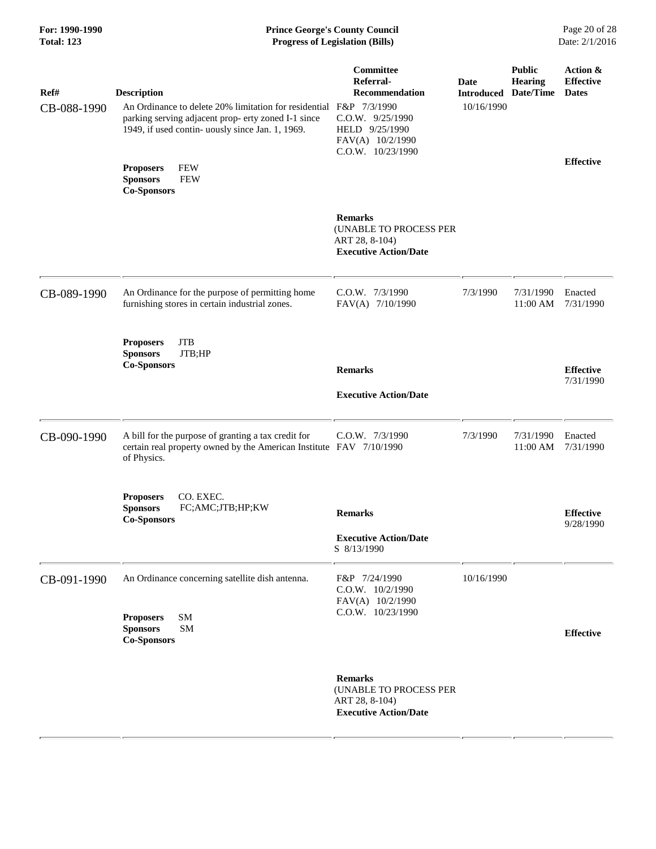# **For: 1990-1990 Prince George's County Council** Page 20 of 28<br> **Prince George's County Council** Page 20 of 28<br> **Progress of Legislation (Bills)** Date: 2/1/2016 **Total: 123 Progress of Legislation (Bills)**

| Ref#<br>CB-088-1990 | <b>Description</b><br>An Ordinance to delete 20% limitation for residential<br>parking serving adjacent prop- erty zoned I-1 since<br>1949, if used contin- uously since Jan. 1, 1969. | Committee<br>Referral-<br><b>Recommendation</b><br>F&P 7/3/1990<br>C.O.W. 9/25/1990<br>HELD 9/25/1990<br>FAV(A) 10/2/1990<br>C.O.W. 10/23/1990 | <b>Date</b><br><b>Introduced Date/Time</b><br>10/16/1990 | <b>Public</b><br><b>Hearing</b> | Action &<br><b>Effective</b><br><b>Dates</b> |
|---------------------|----------------------------------------------------------------------------------------------------------------------------------------------------------------------------------------|------------------------------------------------------------------------------------------------------------------------------------------------|----------------------------------------------------------|---------------------------------|----------------------------------------------|
|                     | <b>FEW</b><br><b>Proposers</b><br><b>FEW</b><br><b>Sponsors</b><br><b>Co-Sponsors</b>                                                                                                  |                                                                                                                                                |                                                          |                                 | <b>Effective</b>                             |
|                     |                                                                                                                                                                                        | <b>Remarks</b><br>(UNABLE TO PROCESS PER<br>ART 28, 8-104)<br><b>Executive Action/Date</b>                                                     |                                                          |                                 |                                              |
| CB-089-1990         | An Ordinance for the purpose of permitting home<br>furnishing stores in certain industrial zones.                                                                                      | C.O.W. 7/3/1990<br>FAV(A) 7/10/1990                                                                                                            | 7/3/1990                                                 | 7/31/1990<br>11:00 AM           | Enacted<br>7/31/1990                         |
|                     | <b>JTB</b><br><b>Proposers</b><br>JTB;HP<br><b>Sponsors</b><br><b>Co-Sponsors</b>                                                                                                      | <b>Remarks</b><br><b>Executive Action/Date</b>                                                                                                 |                                                          |                                 | <b>Effective</b><br>7/31/1990                |
| CB-090-1990         | A bill for the purpose of granting a tax credit for<br>certain real property owned by the American Institute FAV 7/10/1990<br>of Physics.                                              | C.O.W. 7/3/1990                                                                                                                                | 7/3/1990                                                 | 7/31/1990<br>$11:00$ AM         | Enacted<br>7/31/1990                         |
|                     | CO. EXEC.<br><b>Proposers</b><br><b>Sponsors</b><br>FC;AMC;JTB;HP;KW<br><b>Co-Sponsors</b>                                                                                             | <b>Remarks</b><br><b>Executive Action/Date</b><br>S 8/13/1990                                                                                  |                                                          |                                 | <b>Effective</b><br>9/28/1990                |
| CB-091-1990         | An Ordinance concerning satellite dish antenna.<br><b>SM</b><br><b>Proposers</b><br><b>Sponsors</b><br><b>SM</b><br><b>Co-Sponsors</b>                                                 | F&P 7/24/1990<br>$C.0.W.$ $10/2/1990$<br>FAV(A) 10/2/1990<br>C.O.W. 10/23/1990                                                                 | 10/16/1990                                               |                                 | <b>Effective</b>                             |
|                     |                                                                                                                                                                                        | <b>Remarks</b><br>(UNABLE TO PROCESS PER<br>ART 28, 8-104)<br><b>Executive Action/Date</b>                                                     |                                                          |                                 |                                              |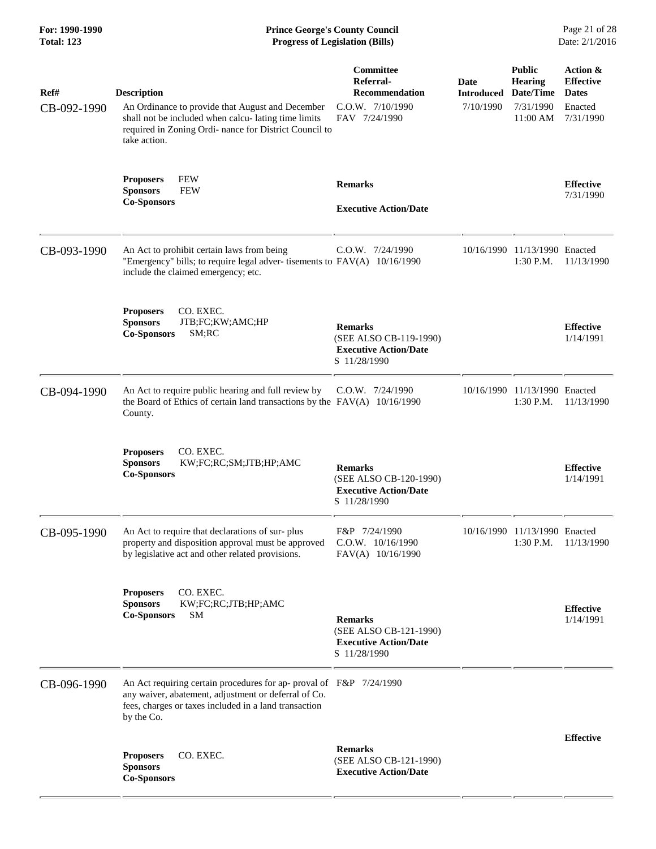| For: 1990-1990<br><b>Total: 123</b> | <b>Prince George's County Council</b><br><b>Progress of Legislation (Bills)</b>                                                                                                                         |                                                                                             |                                        |                                                                       | Page 21 of 28<br>Date: 2/1/2016                                      |
|-------------------------------------|---------------------------------------------------------------------------------------------------------------------------------------------------------------------------------------------------------|---------------------------------------------------------------------------------------------|----------------------------------------|-----------------------------------------------------------------------|----------------------------------------------------------------------|
| Ref#<br>CB-092-1990                 | <b>Description</b><br>An Ordinance to provide that August and December<br>shall not be included when calcu-lating time limits<br>required in Zoning Ordi- nance for District Council to<br>take action. | <b>Committee</b><br>Referral-<br><b>Recommendation</b><br>C.O.W. 7/10/1990<br>FAV 7/24/1990 | Date<br><b>Introduced</b><br>7/10/1990 | <b>Public</b><br><b>Hearing</b><br>Date/Time<br>7/31/1990<br>11:00 AM | Action &<br><b>Effective</b><br><b>Dates</b><br>Enacted<br>7/31/1990 |
|                                     | <b>FEW</b><br><b>Proposers</b><br><b>Sponsors</b><br><b>FEW</b><br><b>Co-Sponsors</b>                                                                                                                   | <b>Remarks</b><br><b>Executive Action/Date</b>                                              |                                        |                                                                       | <b>Effective</b><br>7/31/1990                                        |
| CB-093-1990                         | An Act to prohibit certain laws from being<br>"Emergency" bills; to require legal adver-tisements to FAV(A) 10/16/1990<br>include the claimed emergency; etc.                                           | C.O.W. 7/24/1990                                                                            |                                        | 10/16/1990 11/13/1990 Enacted<br>$1:30$ P.M.                          | 11/13/1990                                                           |
|                                     | CO. EXEC.<br><b>Proposers</b><br><b>Sponsors</b><br>JTB;FC;KW;AMC;HP<br>SM;RC<br><b>Co-Sponsors</b>                                                                                                     | <b>Remarks</b><br>(SEE ALSO CB-119-1990)<br><b>Executive Action/Date</b><br>S 11/28/1990    |                                        |                                                                       | <b>Effective</b><br>1/14/1991                                        |
| CB-094-1990                         | An Act to require public hearing and full review by<br>the Board of Ethics of certain land transactions by the $FAV(A)$ 10/16/1990<br>County.                                                           | $C.0.W.$ $7/24/1990$                                                                        |                                        | 10/16/1990 11/13/1990 Enacted<br>$1:30$ P.M.                          | 11/13/1990                                                           |
|                                     | <b>Proposers</b><br>CO. EXEC.<br><b>Sponsors</b><br>KW;FC;RC;SM;JTB;HP;AMC<br><b>Co-Sponsors</b>                                                                                                        | <b>Remarks</b><br>(SEE ALSO CB-120-1990)<br><b>Executive Action/Date</b><br>S 11/28/1990    |                                        |                                                                       | <b>Effective</b><br>1/14/1991                                        |
| CB-095-1990                         | An Act to require that declarations of sur-plus<br>property and disposition approval must be approved<br>by legislative act and other related provisions.                                               | F&P 7/24/1990<br>C.O.W. 10/16/1990<br>FAV(A) 10/16/1990                                     | 10/16/1990                             | 11/13/1990 Enacted<br>1:30 P.M.                                       | 11/13/1990                                                           |
|                                     | CO. EXEC.<br><b>Proposers</b><br>KW;FC;RC;JTB;HP;AMC<br><b>Sponsors</b><br><b>Co-Sponsors</b><br><b>SM</b>                                                                                              | <b>Remarks</b><br>(SEE ALSO CB-121-1990)<br><b>Executive Action/Date</b><br>S 11/28/1990    |                                        |                                                                       | <b>Effective</b><br>1/14/1991                                        |
| CB-096-1990                         | An Act requiring certain procedures for ap- proval of F&P 7/24/1990<br>any waiver, abatement, adjustment or deferral of Co.<br>fees, charges or taxes included in a land transaction<br>by the Co.      |                                                                                             |                                        |                                                                       |                                                                      |
|                                     | CO. EXEC.<br><b>Proposers</b><br><b>Sponsors</b><br><b>Co-Sponsors</b>                                                                                                                                  | <b>Remarks</b><br>(SEE ALSO CB-121-1990)<br><b>Executive Action/Date</b>                    |                                        |                                                                       | <b>Effective</b>                                                     |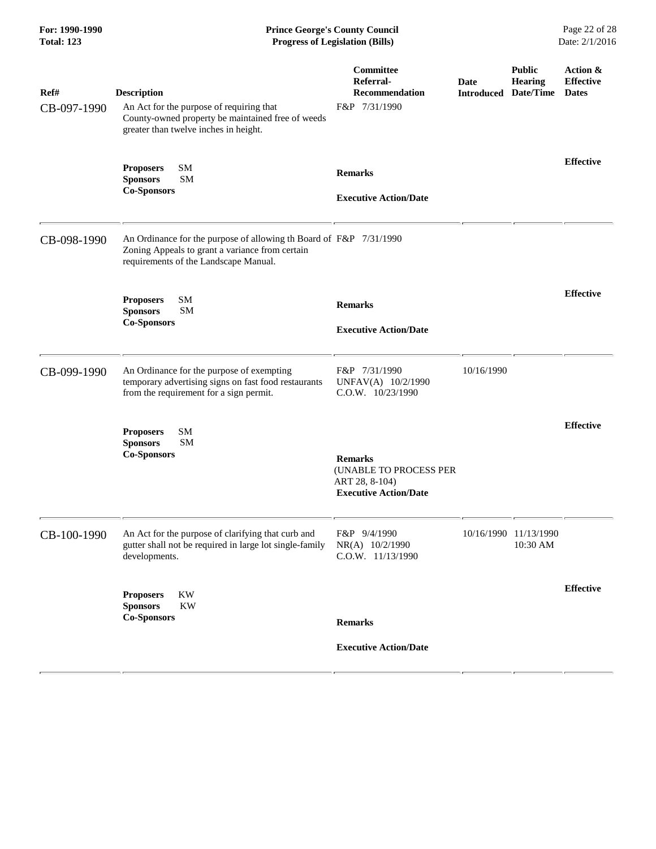| For: 1990-1990<br><b>Total: 123</b> | <b>Prince George's County Council</b><br><b>Progress of Legislation (Bills)</b>                                                                                |                                                                                            |                                     |                                   | Page 22 of 28<br>Date: 2/1/2016              |  |
|-------------------------------------|----------------------------------------------------------------------------------------------------------------------------------------------------------------|--------------------------------------------------------------------------------------------|-------------------------------------|-----------------------------------|----------------------------------------------|--|
| Ref#<br>CB-097-1990                 | <b>Description</b><br>An Act for the purpose of requiring that<br>County-owned property be maintained free of weeds<br>greater than twelve inches in height.   | Committee<br>Referral-<br>Recommendation<br>F&P 7/31/1990                                  | Date<br><b>Introduced Date/Time</b> | <b>Public</b><br><b>Hearing</b>   | Action &<br><b>Effective</b><br><b>Dates</b> |  |
|                                     | SM<br><b>Proposers</b><br><b>SM</b><br><b>Sponsors</b><br><b>Co-Sponsors</b>                                                                                   | <b>Remarks</b><br><b>Executive Action/Date</b>                                             |                                     |                                   | <b>Effective</b>                             |  |
| CB-098-1990                         | An Ordinance for the purpose of allowing th Board of F&P 7/31/1990<br>Zoning Appeals to grant a variance from certain<br>requirements of the Landscape Manual. |                                                                                            |                                     |                                   |                                              |  |
|                                     | SM<br><b>Proposers</b><br><b>SM</b><br><b>Sponsors</b><br><b>Co-Sponsors</b>                                                                                   | <b>Remarks</b><br><b>Executive Action/Date</b>                                             |                                     |                                   | <b>Effective</b>                             |  |
| CB-099-1990                         | An Ordinance for the purpose of exempting<br>temporary advertising signs on fast food restaurants<br>from the requirement for a sign permit.                   | F&P 7/31/1990<br>UNFAV(A) 10/2/1990<br>$C.0.W.$ $10/23/1990$                               | 10/16/1990                          |                                   |                                              |  |
|                                     | SM<br><b>Proposers</b><br><b>SM</b><br><b>Sponsors</b><br><b>Co-Sponsors</b>                                                                                   | <b>Remarks</b><br>(UNABLE TO PROCESS PER<br>ART 28, 8-104)<br><b>Executive Action/Date</b> |                                     |                                   | <b>Effective</b>                             |  |
| CB-100-1990                         | An Act for the purpose of clarifying that curb and<br>gutter shall not be required in large lot single-family<br>developments.                                 | F&P 9/4/1990<br>NR(A) 10/2/1990<br>C.O.W. 11/13/1990                                       |                                     | 10/16/1990 11/13/1990<br>10:30 AM |                                              |  |
|                                     | KW<br><b>Proposers</b><br><b>Sponsors</b><br><b>KW</b><br><b>Co-Sponsors</b>                                                                                   | <b>Remarks</b><br><b>Executive Action/Date</b>                                             |                                     |                                   | <b>Effective</b>                             |  |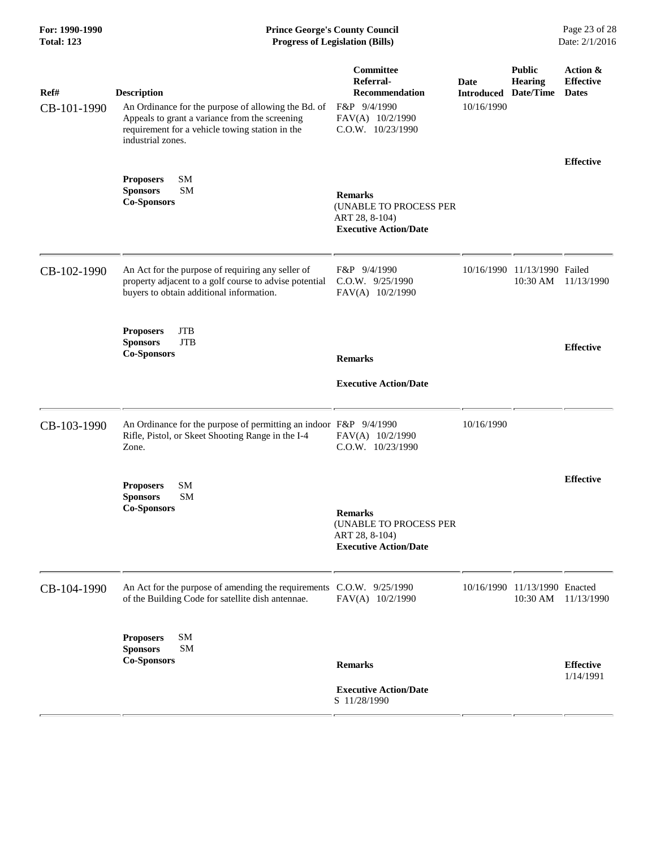| For: 1990-1990<br><b>Total: 123</b> | <b>Prince George's County Council</b><br><b>Progress of Legislation (Bills)</b>                                                                                                                     |                                                                                                          |                                                   |                                           | Page 23 of 28<br>Date: 2/1/2016              |
|-------------------------------------|-----------------------------------------------------------------------------------------------------------------------------------------------------------------------------------------------------|----------------------------------------------------------------------------------------------------------|---------------------------------------------------|-------------------------------------------|----------------------------------------------|
| Ref#<br>CB-101-1990                 | <b>Description</b><br>An Ordinance for the purpose of allowing the Bd. of<br>Appeals to grant a variance from the screening<br>requirement for a vehicle towing station in the<br>industrial zones. | Committee<br>Referral-<br><b>Recommendation</b><br>F&P 9/4/1990<br>FAV(A) 10/2/1990<br>C.O.W. 10/23/1990 | Date<br><b>Introduced Date/Time</b><br>10/16/1990 | <b>Public</b><br><b>Hearing</b>           | Action &<br><b>Effective</b><br><b>Dates</b> |
|                                     | <b>SM</b><br><b>Proposers</b><br><b>Sponsors</b><br><b>SM</b><br><b>Co-Sponsors</b>                                                                                                                 | <b>Remarks</b><br>(UNABLE TO PROCESS PER<br>ART 28, 8-104)<br><b>Executive Action/Date</b>               |                                                   |                                           | <b>Effective</b>                             |
| CB-102-1990                         | An Act for the purpose of requiring any seller of<br>property adjacent to a golf course to advise potential<br>buyers to obtain additional information.                                             | F&P 9/4/1990<br>C.O.W. 9/25/1990<br>FAV(A) 10/2/1990                                                     |                                                   | 10/16/1990 11/13/1990 Failed<br>10:30 AM  | 11/13/1990                                   |
|                                     | <b>JTB</b><br><b>Proposers</b><br><b>Sponsors</b><br><b>JTB</b><br><b>Co-Sponsors</b>                                                                                                               | <b>Remarks</b><br><b>Executive Action/Date</b>                                                           |                                                   |                                           | <b>Effective</b>                             |
| CB-103-1990                         | An Ordinance for the purpose of permitting an indoor F&P 9/4/1990<br>Rifle, Pistol, or Skeet Shooting Range in the I-4<br>Zone.                                                                     | FAV(A) 10/2/1990<br>C.O.W. 10/23/1990                                                                    | 10/16/1990                                        |                                           |                                              |
|                                     | <b>SM</b><br><b>Proposers</b><br><b>SM</b><br><b>Sponsors</b><br><b>Co-Sponsors</b>                                                                                                                 | <b>Remarks</b><br>(UNABLE TO PROCESS PER<br>ART 28, 8-104)<br><b>Executive Action/Date</b>               |                                                   |                                           | <b>Effective</b>                             |
| CB-104-1990                         | An Act for the purpose of amending the requirements C.O.W. 9/25/1990<br>of the Building Code for satellite dish antennae.                                                                           | FAV(A) 10/2/1990                                                                                         |                                                   | 10/16/1990 11/13/1990 Enacted<br>10:30 AM | 11/13/1990                                   |
|                                     | SM<br><b>Proposers</b><br><b>SM</b><br><b>Sponsors</b><br><b>Co-Sponsors</b>                                                                                                                        | <b>Remarks</b><br><b>Executive Action/Date</b><br>S 11/28/1990                                           |                                                   |                                           | <b>Effective</b><br>1/14/1991                |

÷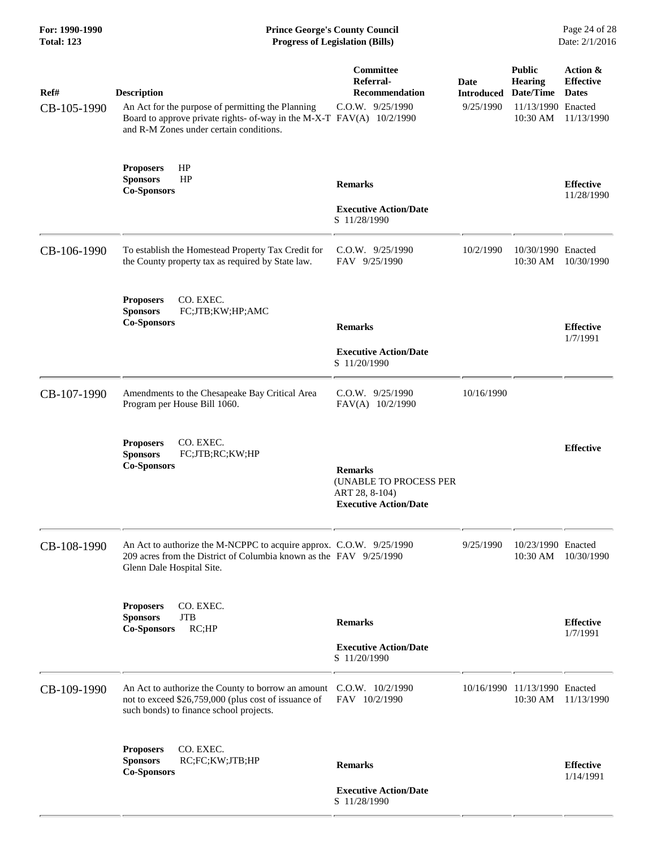| For: 1990-1990<br><b>Total: 123</b><br>Ref#<br>CB-105-1990 | <b>Prince George's County Council</b><br>Page 24 of 28<br><b>Progress of Legislation (Bills)</b><br>Date: 2/1/2016                                                                          |                                                                                                   |                                        |                                                                                |                                                            |
|------------------------------------------------------------|---------------------------------------------------------------------------------------------------------------------------------------------------------------------------------------------|---------------------------------------------------------------------------------------------------|----------------------------------------|--------------------------------------------------------------------------------|------------------------------------------------------------|
|                                                            | <b>Description</b><br>An Act for the purpose of permitting the Planning<br>Board to approve private rights- of-way in the M-X-T FAV(A) 10/2/1990<br>and R-M Zones under certain conditions. | Committee<br>Referral-<br>Recommendation<br>$C.0.W.$ $9/25/1990$                                  | Date<br><b>Introduced</b><br>9/25/1990 | <b>Public</b><br><b>Hearing</b><br>Date/Time<br>11/13/1990 Enacted<br>10:30 AM | Action &<br><b>Effective</b><br><b>Dates</b><br>11/13/1990 |
|                                                            | HP<br><b>Proposers</b><br>HP<br><b>Sponsors</b><br><b>Co-Sponsors</b>                                                                                                                       | <b>Remarks</b><br><b>Executive Action/Date</b><br>S 11/28/1990                                    |                                        |                                                                                | <b>Effective</b><br>11/28/1990                             |
| CB-106-1990                                                | To establish the Homestead Property Tax Credit for<br>the County property tax as required by State law.                                                                                     | $C.0.W.$ 9/25/1990<br>FAV 9/25/1990                                                               | 10/2/1990                              | 10/30/1990 Enacted<br>10:30 AM                                                 | 10/30/1990                                                 |
|                                                            | CO. EXEC.<br><b>Proposers</b><br>FC;JTB;KW;HP;AMC<br><b>Sponsors</b><br><b>Co-Sponsors</b>                                                                                                  | <b>Remarks</b><br><b>Executive Action/Date</b><br>S 11/20/1990                                    |                                        |                                                                                | <b>Effective</b><br>1/7/1991                               |
| CB-107-1990                                                | Amendments to the Chesapeake Bay Critical Area<br>Program per House Bill 1060.                                                                                                              | C.O.W. 9/25/1990<br>FAV(A) 10/2/1990                                                              | 10/16/1990                             |                                                                                |                                                            |
|                                                            | CO. EXEC.<br><b>Proposers</b><br><b>Sponsors</b><br>FC;JTB;RC;KW;HP<br><b>Co-Sponsors</b>                                                                                                   | <b>Remarks</b><br><b>(UNABLE TO PROCESS PER</b><br>ART 28, 8-104)<br><b>Executive Action/Date</b> |                                        |                                                                                | <b>Effective</b>                                           |
| CB-108-1990                                                | An Act to authorize the M-NCPPC to acquire approx. C.O.W. 9/25/1990<br>209 acres from the District of Columbia known as the FAV 9/25/1990<br>Glenn Dale Hospital Site.                      |                                                                                                   | 9/25/1990                              | 10/23/1990 Enacted<br>10:30 AM                                                 | 10/30/1990                                                 |
|                                                            | CO. EXEC.<br><b>Proposers</b><br><b>JTB</b><br><b>Sponsors</b><br>RC;HP<br><b>Co-Sponsors</b>                                                                                               | <b>Remarks</b><br><b>Executive Action/Date</b><br>S 11/20/1990                                    |                                        |                                                                                | <b>Effective</b><br>1/7/1991                               |
| CB-109-1990                                                | An Act to authorize the County to borrow an amount C.O.W. 10/2/1990<br>not to exceed \$26,759,000 (plus cost of issuance of<br>such bonds) to finance school projects.                      | FAV 10/2/1990                                                                                     |                                        | 10/16/1990 11/13/1990 Enacted<br>10:30 AM                                      | 11/13/1990                                                 |
|                                                            | CO. EXEC.<br><b>Proposers</b><br><b>Sponsors</b><br>RC;FC;KW;JTB;HP<br><b>Co-Sponsors</b>                                                                                                   | <b>Remarks</b><br><b>Executive Action/Date</b><br>S 11/28/1990                                    |                                        |                                                                                | <b>Effective</b><br>1/14/1991                              |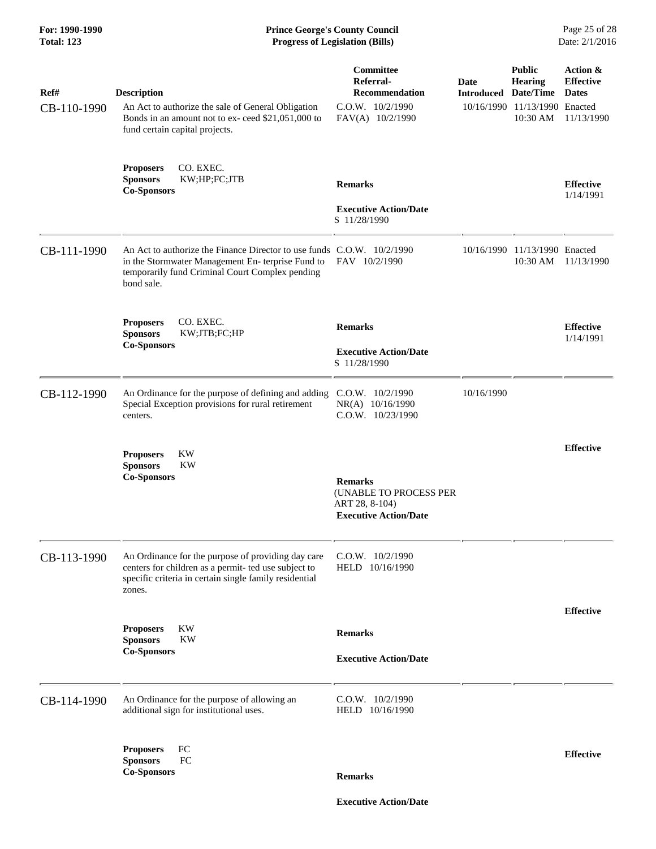#### **For: 1990-1990 Prince George's County Council** Page 25 of 28<br> **Prince George's County Council** Page 25 of 28<br> **Progress of Legislation (Bills)** Date: 2/1/2016 **Total: 123 Progress of Legislation (Bills)**

| Ref#<br>CB-110-1990 | <b>Description</b><br>An Act to authorize the sale of General Obligation<br>Bonds in an amount not to ex- ceed \$21,051,000 to<br>fund certain capital projects.                            | Committee<br>Referral-<br><b>Recommendation</b><br>$C.O.W.$ $10/2/1990$<br>FAV(A) 10/2/1990 | <b>Date</b><br><b>Introduced Date/Time</b> | <b>Public</b><br><b>Hearing</b><br>10/16/1990 11/13/1990 Enacted<br>10:30 AM | Action &<br><b>Effective</b><br><b>Dates</b><br>11/13/1990 |
|---------------------|---------------------------------------------------------------------------------------------------------------------------------------------------------------------------------------------|---------------------------------------------------------------------------------------------|--------------------------------------------|------------------------------------------------------------------------------|------------------------------------------------------------|
|                     | CO. EXEC.<br><b>Proposers</b><br>KW;HP;FC;JTB<br><b>Sponsors</b><br><b>Co-Sponsors</b>                                                                                                      | <b>Remarks</b><br><b>Executive Action/Date</b><br>S 11/28/1990                              | <b>Effective</b><br>1/14/1991              |                                                                              |                                                            |
| CB-111-1990         | An Act to authorize the Finance Director to use funds C.O.W. 10/2/1990<br>in the Stormwater Management En-terprise Fund to<br>temporarily fund Criminal Court Complex pending<br>bond sale. | FAV 10/2/1990                                                                               |                                            | 10/16/1990 11/13/1990 Enacted<br>10:30 AM                                    | 11/13/1990                                                 |
|                     | CO. EXEC.<br><b>Proposers</b><br><b>Sponsors</b><br>KW;JTB;FC;HP<br><b>Co-Sponsors</b>                                                                                                      | <b>Remarks</b><br><b>Executive Action/Date</b><br>S 11/28/1990                              |                                            |                                                                              | <b>Effective</b><br>1/14/1991                              |
| CB-112-1990         | An Ordinance for the purpose of defining and adding<br>Special Exception provisions for rural retirement<br>centers.                                                                        | C.O.W. 10/2/1990<br>NR(A) 10/16/1990<br>C.O.W. 10/23/1990                                   | 10/16/1990                                 |                                                                              |                                                            |
|                     | <b>Proposers</b><br>KW<br><b>KW</b><br><b>Sponsors</b><br><b>Co-Sponsors</b>                                                                                                                | <b>Remarks</b><br>(UNABLE TO PROCESS PER<br>ART 28, 8-104)<br><b>Executive Action/Date</b>  |                                            |                                                                              | <b>Effective</b>                                           |
| CB-113-1990         | An Ordinance for the purpose of providing day care<br>centers for children as a permit- ted use subject to<br>specific criteria in certain single family residential<br>zones.              | $C.0.W.$ $10/2/1990$<br>HELD 10/16/1990                                                     |                                            |                                                                              |                                                            |
|                     | KW<br><b>Proposers</b><br><b>KW</b><br><b>Sponsors</b><br><b>Co-Sponsors</b>                                                                                                                | <b>Remarks</b><br><b>Executive Action/Date</b>                                              |                                            |                                                                              | <b>Effective</b>                                           |
| CB-114-1990         | An Ordinance for the purpose of allowing an<br>additional sign for institutional uses.                                                                                                      | C.O.W. 10/2/1990<br>HELD 10/16/1990                                                         |                                            |                                                                              |                                                            |
|                     | FC<br><b>Proposers</b><br>FC<br><b>Sponsors</b><br><b>Co-Sponsors</b>                                                                                                                       | <b>Remarks</b>                                                                              |                                            |                                                                              | <b>Effective</b>                                           |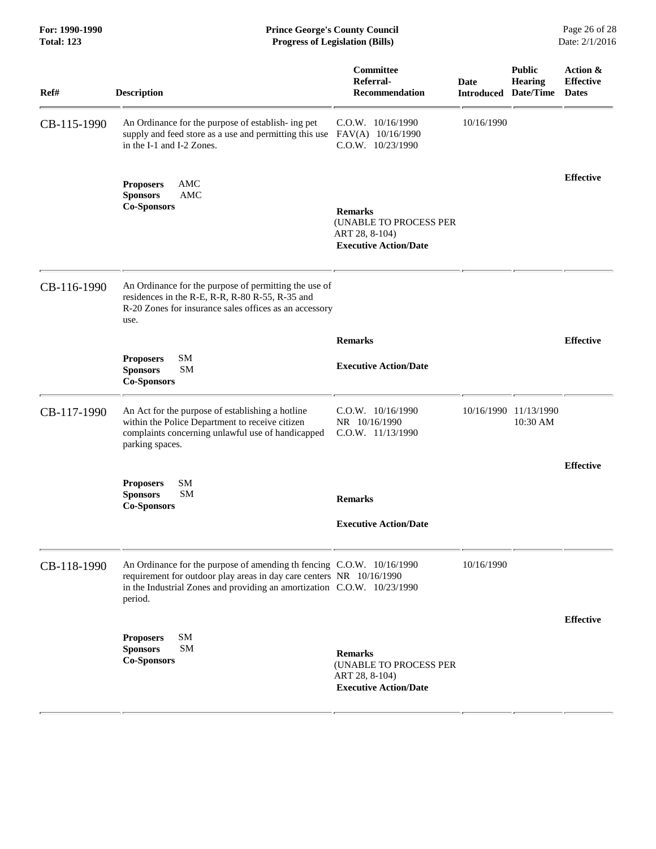#### **For: 1990-1990 Prince George's County Council** Page 26 of 28<br> **Prince George's County Council** Page 26 of 28<br> **Progress of Legislation (Bills)** Date: 2/1/2016 **Total: 123 Progress of Legislation (Bills)**

| Ref#        | <b>Description</b>                                                                                                                                                                                                                  | Committee<br>Referral-<br><b>Recommendation</b>                                            | Date<br><b>Introduced Date/Time</b> | <b>Public</b><br><b>Hearing</b>   | Action &<br><b>Effective</b><br><b>Dates</b> |
|-------------|-------------------------------------------------------------------------------------------------------------------------------------------------------------------------------------------------------------------------------------|--------------------------------------------------------------------------------------------|-------------------------------------|-----------------------------------|----------------------------------------------|
| CB-115-1990 | An Ordinance for the purpose of establish- ing pet<br>supply and feed store as a use and permitting this use<br>in the I-1 and I-2 Zones.                                                                                           | $C.0.W.$ $10/16/1990$<br>FAV(A) 10/16/1990<br>C.O.W. 10/23/1990                            | 10/16/1990                          |                                   |                                              |
|             | <b>AMC</b><br><b>Proposers</b><br><b>Sponsors</b><br>AMC<br><b>Co-Sponsors</b>                                                                                                                                                      | <b>Remarks</b><br>(UNABLE TO PROCESS PER<br>ART 28, 8-104)<br><b>Executive Action/Date</b> |                                     |                                   | <b>Effective</b>                             |
| CB-116-1990 | An Ordinance for the purpose of permitting the use of<br>residences in the R-E, R-R, R-80 R-55, R-35 and<br>R-20 Zones for insurance sales offices as an accessory<br>use.                                                          |                                                                                            |                                     |                                   |                                              |
|             |                                                                                                                                                                                                                                     | <b>Remarks</b>                                                                             |                                     |                                   | <b>Effective</b>                             |
|             | <b>SM</b><br><b>Proposers</b><br><b>SM</b><br><b>Sponsors</b><br><b>Co-Sponsors</b>                                                                                                                                                 | <b>Executive Action/Date</b>                                                               |                                     |                                   |                                              |
| CB-117-1990 | An Act for the purpose of establishing a hotline<br>within the Police Department to receive citizen<br>complaints concerning unlawful use of handicapped<br>parking spaces.                                                         | C.O.W. 10/16/1990<br>NR 10/16/1990<br>C.O.W. 11/13/1990                                    |                                     | 10/16/1990 11/13/1990<br>10:30 AM |                                              |
|             |                                                                                                                                                                                                                                     |                                                                                            |                                     |                                   | <b>Effective</b>                             |
|             | <b>SM</b><br><b>Proposers</b><br><b>Sponsors</b><br>SΜ                                                                                                                                                                              |                                                                                            |                                     |                                   |                                              |
|             | <b>Co-Sponsors</b>                                                                                                                                                                                                                  | <b>Remarks</b>                                                                             |                                     |                                   |                                              |
|             |                                                                                                                                                                                                                                     | <b>Executive Action/Date</b>                                                               |                                     |                                   |                                              |
| CB-118-1990 | An Ordinance for the purpose of amending th fencing C.O.W. 10/16/1990<br>requirement for outdoor play areas in day care centers NR 10/16/1990<br>in the Industrial Zones and providing an amortization C.O.W. 10/23/1990<br>period. |                                                                                            | 10/16/1990                          |                                   |                                              |
|             | <b>SM</b><br><b>Proposers</b><br><b>Sponsors</b><br>SΜ<br><b>Co-Sponsors</b>                                                                                                                                                        | <b>Remarks</b><br>(UNABLE TO PROCESS PER<br>ART 28, 8-104)<br><b>Executive Action/Date</b> |                                     |                                   | <b>Effective</b>                             |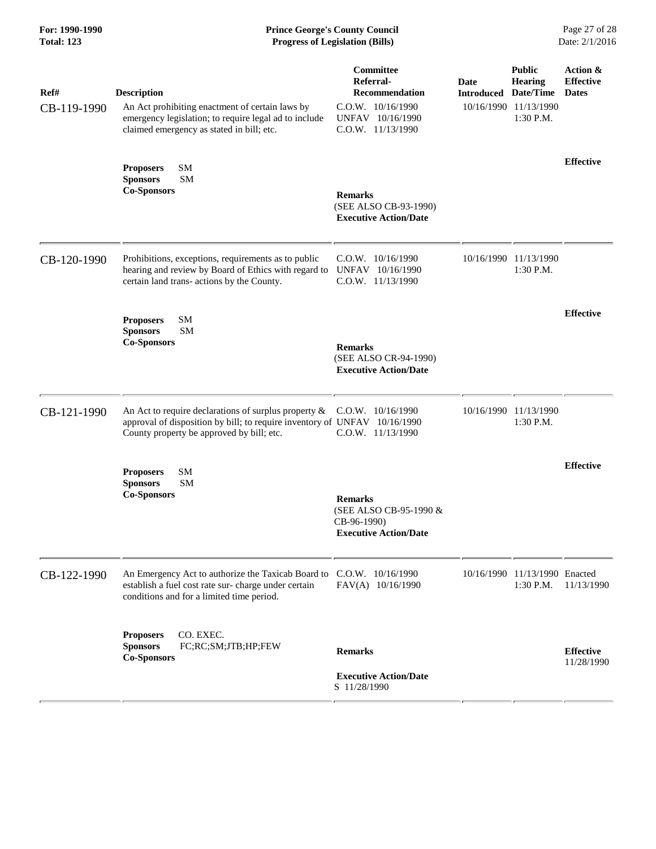| For: 1990-1990<br><b>Total: 123</b><br>Ref#<br>CB-119-1990 | <b>Prince George's County Council</b><br>Date: 2/1/2016<br><b>Progress of Legislation (Bills)</b>                                                                                 |                                                                                                                      |                                     |                                                                       |                                              |
|------------------------------------------------------------|-----------------------------------------------------------------------------------------------------------------------------------------------------------------------------------|----------------------------------------------------------------------------------------------------------------------|-------------------------------------|-----------------------------------------------------------------------|----------------------------------------------|
|                                                            | <b>Description</b><br>An Act prohibiting enactment of certain laws by<br>emergency legislation; to require legal ad to include<br>claimed emergency as stated in bill; etc.       | <b>Committee</b><br>Referral-<br><b>Recommendation</b><br>C.O.W. 10/16/1990<br>UNFAV 10/16/1990<br>C.O.W. 11/13/1990 | Date<br><b>Introduced Date/Time</b> | <b>Public</b><br><b>Hearing</b><br>10/16/1990 11/13/1990<br>1:30 P.M. | Action &<br><b>Effective</b><br><b>Dates</b> |
|                                                            | SM<br><b>Proposers</b><br><b>SM</b><br><b>Sponsors</b><br><b>Co-Sponsors</b>                                                                                                      | <b>Remarks</b><br>(SEE ALSO CB-93-1990)<br><b>Executive Action/Date</b>                                              |                                     |                                                                       | <b>Effective</b>                             |
| CB-120-1990                                                | Prohibitions, exceptions, requirements as to public<br>hearing and review by Board of Ethics with regard to<br>certain land trans- actions by the County.                         | C.O.W. 10/16/1990<br>UNFAV 10/16/1990<br>C.O.W. 11/13/1990                                                           |                                     | 10/16/1990 11/13/1990<br>1:30 P.M.                                    |                                              |
|                                                            | SM<br><b>Proposers</b><br><b>SM</b><br><b>Sponsors</b><br><b>Co-Sponsors</b>                                                                                                      | <b>Remarks</b><br>(SEE ALSO CR-94-1990)<br><b>Executive Action/Date</b>                                              |                                     |                                                                       | <b>Effective</b>                             |
| CB-121-1990                                                | An Act to require declarations of surplus property $\&$<br>approval of disposition by bill; to require inventory of UNFAV 10/16/1990<br>County property be approved by bill; etc. | $C.0.W.$ $10/16/1990$<br>C.O.W. 11/13/1990                                                                           |                                     | 10/16/1990 11/13/1990<br>1:30 P.M.                                    |                                              |
|                                                            | SM<br><b>Proposers</b><br><b>Sponsors</b><br><b>SM</b><br><b>Co-Sponsors</b>                                                                                                      | <b>Remarks</b><br>(SEE ALSO CB-95-1990 &<br>CB-96-1990)<br><b>Executive Action/Date</b>                              |                                     |                                                                       | <b>Effective</b>                             |
| CB-122-1990                                                | An Emergency Act to authorize the Taxicab Board to<br>establish a fuel cost rate sur-charge under certain<br>conditions and for a limited time period.                            | $C.0.W.$ 10/16/1990<br>FAV(A) 10/16/1990                                                                             |                                     | 10/16/1990 11/13/1990 Enacted<br>1:30 P.M.                            | 11/13/1990                                   |
|                                                            | CO. EXEC.<br><b>Proposers</b><br>FC;RC;SM;JTB;HP;FEW<br><b>Sponsors</b><br><b>Co-Sponsors</b>                                                                                     | <b>Remarks</b><br><b>Executive Action/Date</b><br>S 11/28/1990                                                       |                                     |                                                                       | <b>Effective</b><br>11/28/1990               |